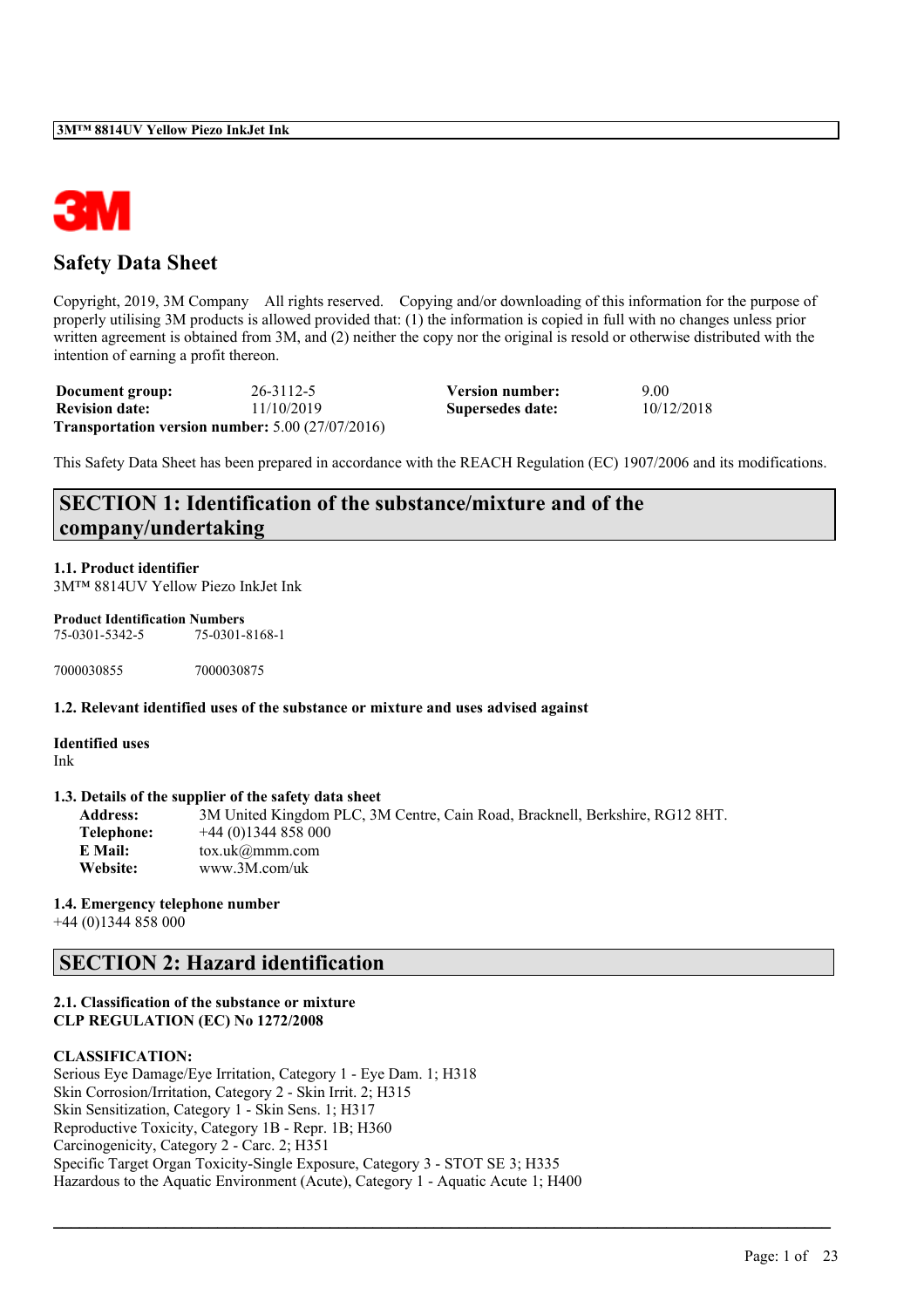

# **Safety Data Sheet**

Copyright, 2019, 3M Company All rights reserved. Copying and/or downloading of this information for the purpose of properly utilising 3M products is allowed provided that: (1) the information is copied in full with no changes unless prior written agreement is obtained from 3M, and (2) neither the copy nor the original is resold or otherwise distributed with the intention of earning a profit thereon.

| Document group:       | 26-3112-5                                                     | <b>Version number:</b> | 9.00       |
|-----------------------|---------------------------------------------------------------|------------------------|------------|
| <b>Revision date:</b> | 11/10/2019                                                    | Supersedes date:       | 10/12/2018 |
|                       | <b>Transportation version number:</b> $5.00$ ( $27/07/2016$ ) |                        |            |

This Safety Data Sheet has been prepared in accordance with the REACH Regulation (EC) 1907/2006 and its modifications.

# **SECTION 1: Identification of the substance/mixture and of the company/undertaking**

**1.1. Product identifier** 3M™ 8814UV Yellow Piezo InkJet Ink

**Product Identification Numbers** 75-0301-5342-5 75-0301-8168-1

7000030855 7000030875

**1.2. Relevant identified uses of the substance or mixture and uses advised against**

**Identified uses** Ink

#### **1.3. Details of the supplier of the safety data sheet**

**Address:** 3M United Kingdom PLC, 3M Centre, Cain Road, Bracknell, Berkshire, RG12 8HT. **Telephone:** +44 (0)1344 858 000 **E Mail:** tox.uk@mmm.com **Website:** www.3M.com/uk

 $\mathcal{L}_\mathcal{L} = \mathcal{L}_\mathcal{L} = \mathcal{L}_\mathcal{L} = \mathcal{L}_\mathcal{L} = \mathcal{L}_\mathcal{L} = \mathcal{L}_\mathcal{L} = \mathcal{L}_\mathcal{L} = \mathcal{L}_\mathcal{L} = \mathcal{L}_\mathcal{L} = \mathcal{L}_\mathcal{L} = \mathcal{L}_\mathcal{L} = \mathcal{L}_\mathcal{L} = \mathcal{L}_\mathcal{L} = \mathcal{L}_\mathcal{L} = \mathcal{L}_\mathcal{L} = \mathcal{L}_\mathcal{L} = \mathcal{L}_\mathcal{L}$ 

## **1.4. Emergency telephone number**

+44 (0)1344 858 000

# **SECTION 2: Hazard identification**

## **2.1. Classification of the substance or mixture CLP REGULATION (EC) No 1272/2008**

## **CLASSIFICATION:**

Serious Eye Damage/Eye Irritation, Category 1 - Eye Dam. 1; H318 Skin Corrosion/Irritation, Category 2 - Skin Irrit. 2; H315 Skin Sensitization, Category 1 - Skin Sens. 1; H317 Reproductive Toxicity, Category 1B - Repr. 1B; H360 Carcinogenicity, Category 2 - Carc. 2; H351 Specific Target Organ Toxicity-Single Exposure, Category 3 - STOT SE 3; H335 Hazardous to the Aquatic Environment (Acute), Category 1 - Aquatic Acute 1; H400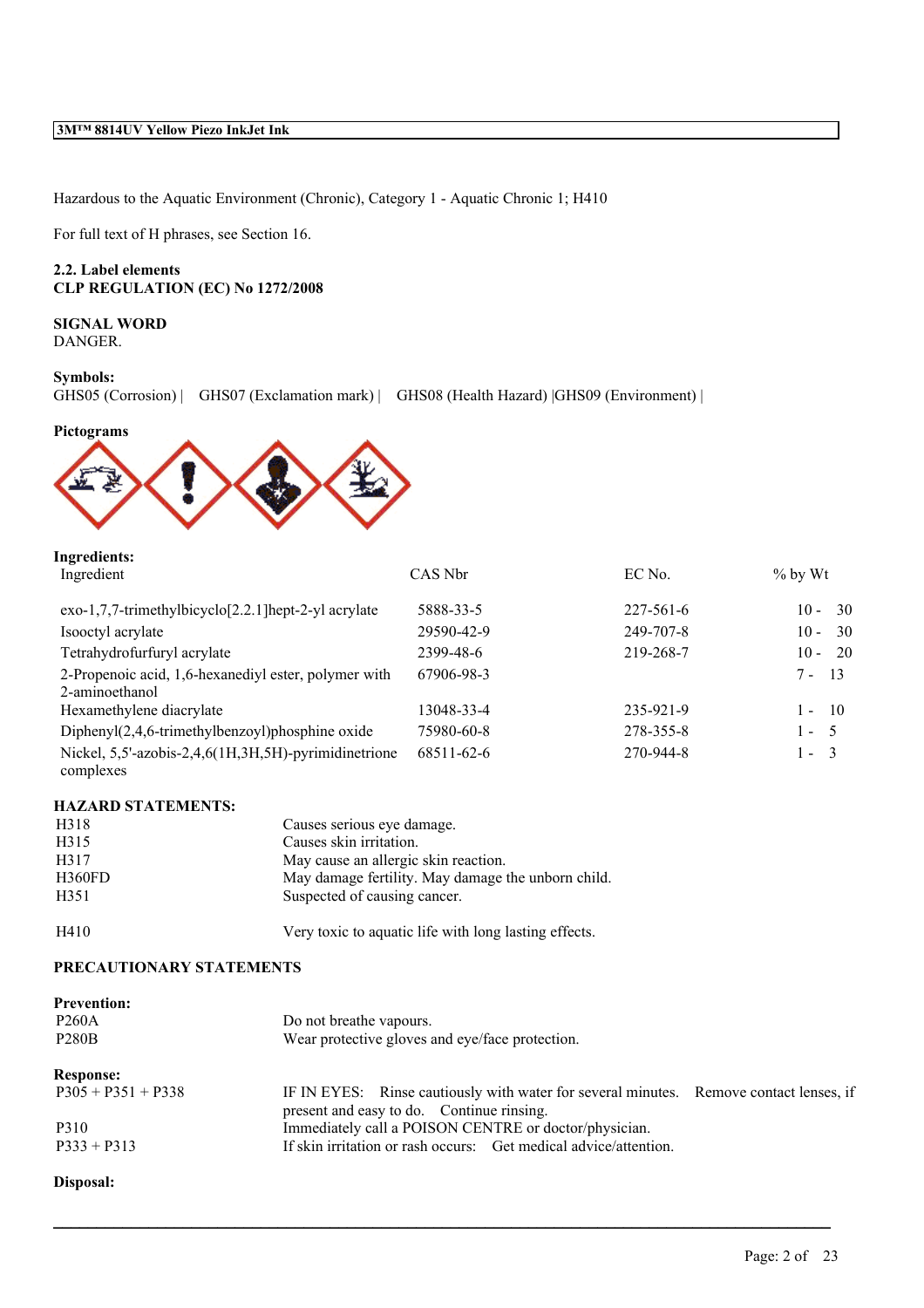Hazardous to the Aquatic Environment (Chronic), Category 1 - Aquatic Chronic 1; H410

For full text of H phrases, see Section 16.

## **2.2. Label elements CLP REGULATION (EC) No 1272/2008**

**SIGNAL WORD** DANGER.

#### **Symbols:**

GHS05 (Corrosion) | GHS07 (Exclamation mark) | GHS08 (Health Hazard) | GHS09 (Environment) |



## **Ingredients:**

| Ingredient                                                             | CAS Nbr    | EC No.          | $%$ by Wt      |
|------------------------------------------------------------------------|------------|-----------------|----------------|
| exo-1,7,7-trimethylbicyclo[2.2.1]hept-2-yl acrylate                    | 5888-33-5  | $227 - 561 - 6$ | - 30<br>$10 -$ |
| Isooctyl acrylate                                                      | 29590-42-9 | 249-707-8       | -30<br>$10 -$  |
| Tetrahydrofurfuryl acrylate                                            | 2399-48-6  | 219-268-7       | $10 - 20$      |
| 2-Propenoic acid, 1,6-hexanediyl ester, polymer with<br>2-aminoethanol | 67906-98-3 |                 | - 13<br>$7 -$  |
| Hexamethylene diacrylate                                               | 13048-33-4 | 235-921-9       | 10<br>$1 -$    |
| Diphenyl $(2,4,6$ -trimethylbenzoyl)phosphine oxide                    | 75980-60-8 | 278-355-8       | $1 - 5$        |
| Nickel, 5,5'-azobis-2,4,6(1H,3H,5H)-pyrimidinetrione<br>complexes      | 68511-62-6 | 270-944-8       | $1 - 3$        |

#### **HAZARD STATEMENTS:**

| H318   | Causes serious eye damage.                            |
|--------|-------------------------------------------------------|
| H315   | Causes skin irritation.                               |
| H317   | May cause an allergic skin reaction.                  |
| H360FD | May damage fertility. May damage the unborn child.    |
| H351   | Suspected of causing cancer.                          |
| H410   | Very toxic to aquatic life with long lasting effects. |

#### **PRECAUTIONARY STATEMENTS**

| <b>Prevention:</b>   |                                                                                                                                     |  |  |  |  |
|----------------------|-------------------------------------------------------------------------------------------------------------------------------------|--|--|--|--|
| <b>P260A</b>         | Do not breathe vapours.                                                                                                             |  |  |  |  |
| <b>P280B</b>         | Wear protective gloves and eye/face protection.                                                                                     |  |  |  |  |
| <b>Response:</b>     |                                                                                                                                     |  |  |  |  |
| $P305 + P351 + P338$ | IF IN EYES: Rinse cautiously with water for several minutes. Remove contact lenses, if<br>present and easy to do. Continue rinsing. |  |  |  |  |
| P310                 | Immediately call a POISON CENTRE or doctor/physician.                                                                               |  |  |  |  |
| $P333 + P313$        | If skin irritation or rash occurs: Get medical advice/attention.                                                                    |  |  |  |  |

 $\mathcal{L}_\mathcal{L} = \mathcal{L}_\mathcal{L} = \mathcal{L}_\mathcal{L} = \mathcal{L}_\mathcal{L} = \mathcal{L}_\mathcal{L} = \mathcal{L}_\mathcal{L} = \mathcal{L}_\mathcal{L} = \mathcal{L}_\mathcal{L} = \mathcal{L}_\mathcal{L} = \mathcal{L}_\mathcal{L} = \mathcal{L}_\mathcal{L} = \mathcal{L}_\mathcal{L} = \mathcal{L}_\mathcal{L} = \mathcal{L}_\mathcal{L} = \mathcal{L}_\mathcal{L} = \mathcal{L}_\mathcal{L} = \mathcal{L}_\mathcal{L}$ 

## **Disposal:**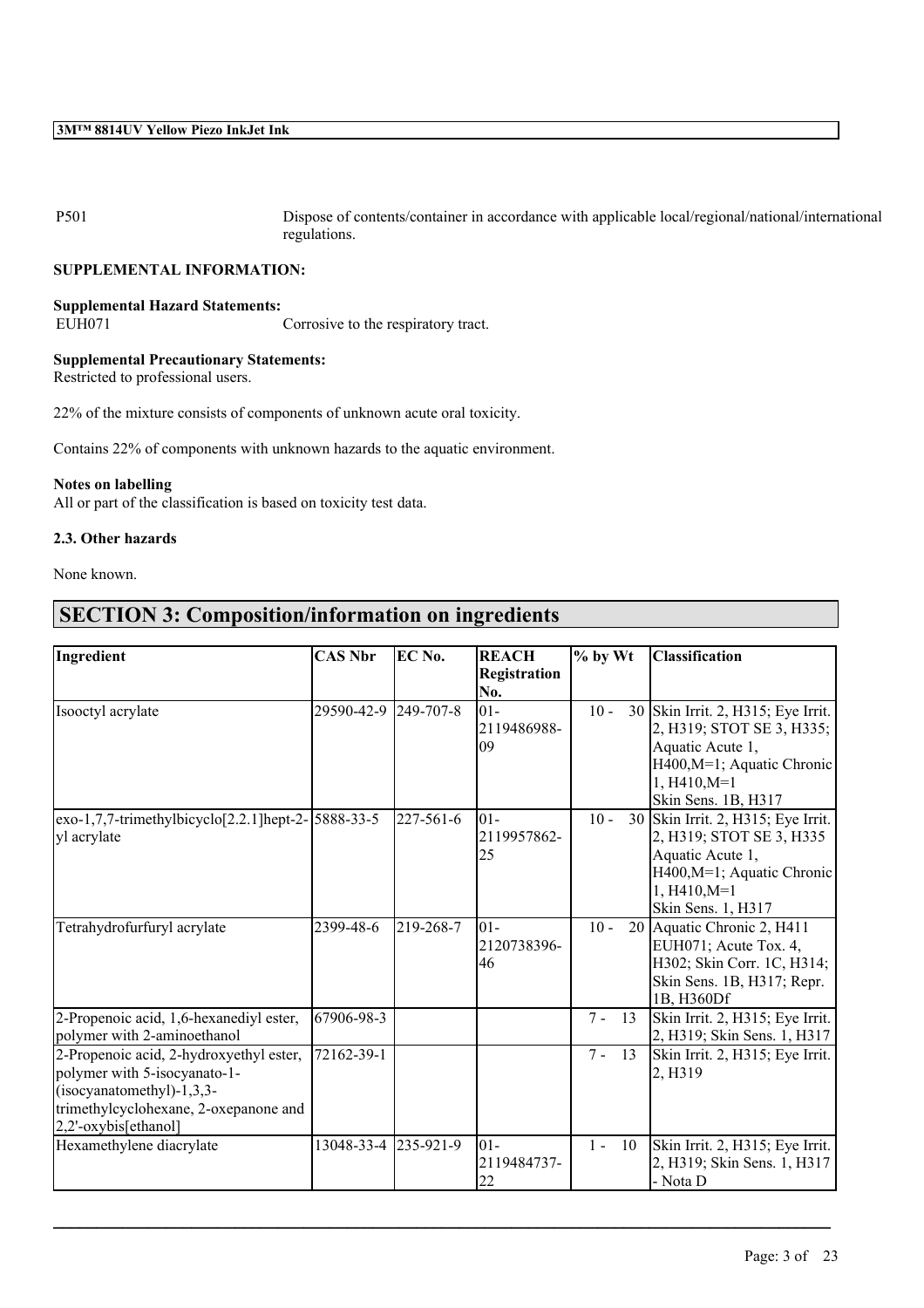P501 Dispose of contents/container in accordance with applicable local/regional/national/international regulations.

## **SUPPLEMENTAL INFORMATION:**

## **Supplemental Hazard Statements:**

EUH071 Corrosive to the respiratory tract.

# **Supplemental Precautionary Statements:**

Restricted to professional users.

22% of the mixture consists of components of unknown acute oral toxicity.

Contains 22% of components with unknown hazards to the aquatic environment.

## **Notes on labelling**

All or part of the classification is based on toxicity test data.

## **2.3. Other hazards**

None known.

# **SECTION 3: Composition/information on ingredients**

| Ingredient                                                                                                                                                              | <b>CAS Nbr</b> | EC No.           | <b>REACH</b>                | $%$ by Wt     | <b>Classification</b>                                                                                                                                      |
|-------------------------------------------------------------------------------------------------------------------------------------------------------------------------|----------------|------------------|-----------------------------|---------------|------------------------------------------------------------------------------------------------------------------------------------------------------------|
|                                                                                                                                                                         |                |                  | <b>Registration</b><br>No.  |               |                                                                                                                                                            |
| Isooctyl acrylate                                                                                                                                                       | 29590-42-9     | $249 - 707 - 8$  | $01 -$<br>2119486988-<br>09 | $10 -$        | 30 Skin Irrit. 2, H315; Eye Irrit.<br>2, H319; STOT SE 3, H335;<br>Aquatic Acute 1,<br>H400, M=1; Aquatic Chronic<br>$1, H410, M=1$<br>Skin Sens. 1B, H317 |
| $\frac{1}{7}$ ,7,7-trimethylbicyclo <sup>[2.2.1]</sup> hept-2- $\frac{5888-33-5}{7}$<br>yl acrylate                                                                     |                | 227-561-6        | $ 01-$<br>2119957862-<br>25 | $10 -$        | 30 Skin Irrit. 2, H315; Eye Irrit.<br>2, H319; STOT SE 3, H335<br>Aquatic Acute 1,<br>H400, M=1; Aquatic Chronic<br>$1, H410, M=1$<br>Skin Sens. 1, H317   |
| Tetrahydrofurfuryl acrylate                                                                                                                                             | 2399-48-6      | 219-268-7        | $01 -$<br>2120738396-<br>46 | $10 -$        | 20 Aquatic Chronic 2, H411<br>EUH071; Acute Tox. 4,<br>H302; Skin Corr. 1C, H314;<br>Skin Sens. 1B, H317; Repr.<br>1B, H360Df                              |
| 2-Propenoic acid, 1,6-hexanediyl ester,<br>polymer with 2-aminoethanol                                                                                                  | 67906-98-3     |                  |                             | $7 -$<br>13   | Skin Irrit. 2, H315; Eye Irrit.<br>2, H319; Skin Sens. 1, H317                                                                                             |
| 2-Propenoic acid, 2-hydroxyethyl ester,<br>polymer with 5-isocyanato-1-<br>$(isocyanatomethyl)-1,3,3-$<br>trimethylcyclohexane, 2-oxepanone and<br>2,2'-oxybis[ethanol] | 72162-39-1     |                  |                             | $7 - 13$      | Skin Irrit. 2, H315; Eye Irrit.<br>2, H <sub>3</sub> 19                                                                                                    |
| Hexamethylene diacrylate                                                                                                                                                | 13048-33-4     | $ 235 - 921 - 9$ | $01 -$<br>2119484737-<br>22 | - 10<br>$1 -$ | Skin Irrit. 2, H315; Eye Irrit.<br>2, H319; Skin Sens. 1, H317<br>- Nota D                                                                                 |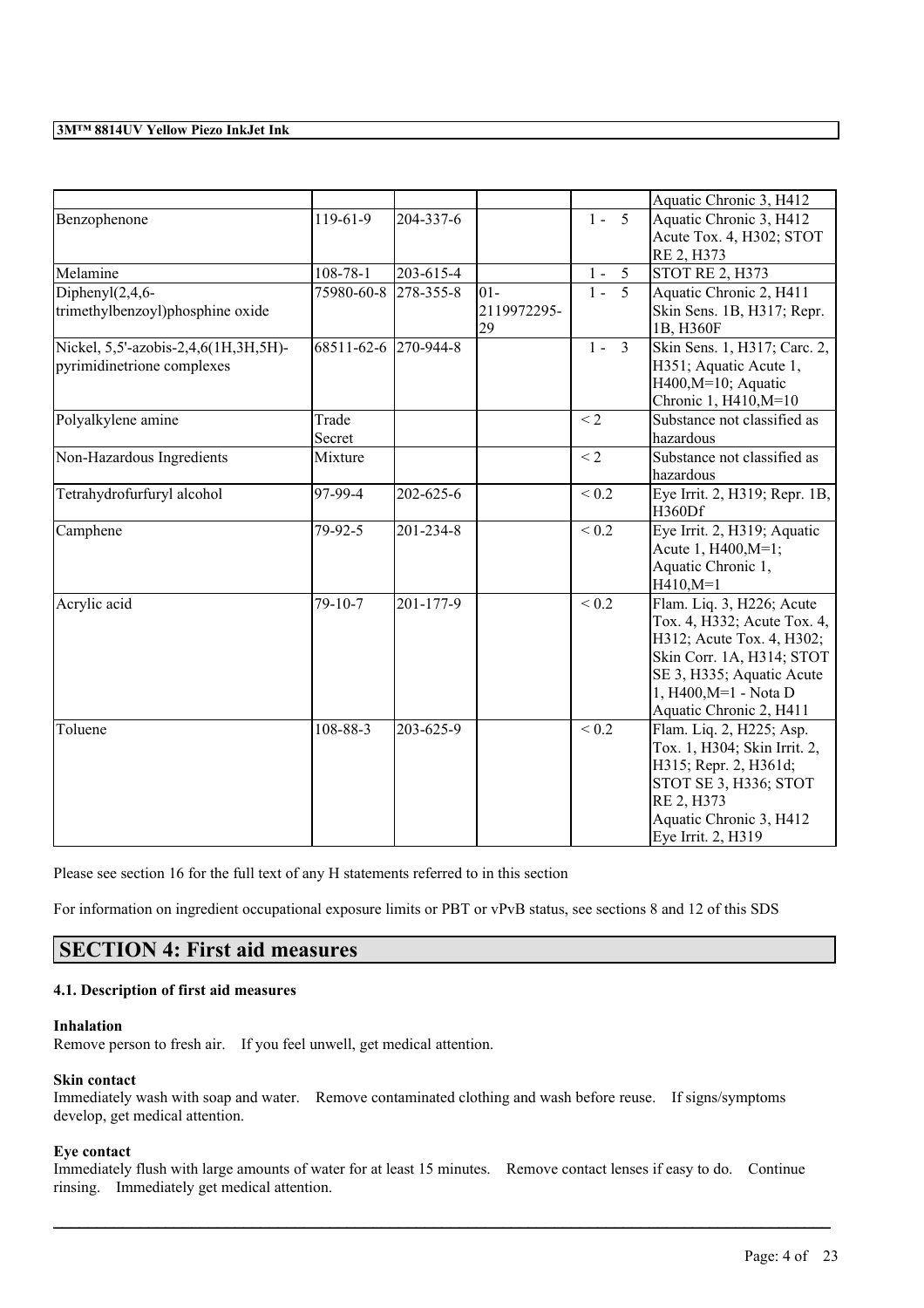|                                      |                |           |             |                         | Aquatic Chronic 3, H412       |
|--------------------------------------|----------------|-----------|-------------|-------------------------|-------------------------------|
| Benzophenone                         | $119-61-9$     | 204-337-6 |             | $1 - 5$                 | Aquatic Chronic 3, H412       |
|                                      |                |           |             |                         | Acute Tox. 4, H302; STOT      |
|                                      |                |           |             |                         | RE 2, H373                    |
| Melamine                             | $108 - 78 - 1$ | 203-615-4 |             | $1 - 5$                 | <b>STOT RE 2, H373</b>        |
| Diphenyl $(2,4,6$ -                  | 75980-60-8     | 278-355-8 | $01 -$      | 5<br>$1 -$              | Aquatic Chronic 2, H411       |
| trimethylbenzoyl)phosphine oxide     |                |           | 2119972295- |                         | Skin Sens. 1B, H317; Repr.    |
|                                      |                |           | 29          |                         | 1B, H360F                     |
| Nickel, 5,5'-azobis-2,4,6(1H,3H,5H)- | 68511-62-6     | 270-944-8 |             | $\overline{3}$<br>$1 -$ | Skin Sens. 1, H317; Carc. 2,  |
| pyrimidinetrione complexes           |                |           |             |                         | H351; Aquatic Acute 1,        |
|                                      |                |           |             |                         | $H400, M=10$ ; Aquatic        |
|                                      |                |           |             |                         | Chronic 1, H410, M=10         |
| Polyalkylene amine                   | Trade          |           |             | $\leq$ 2                | Substance not classified as   |
|                                      | Secret         |           |             |                         | hazardous                     |
| Non-Hazardous Ingredients            | Mixture        |           |             | $<$ 2                   | Substance not classified as   |
|                                      |                |           |             |                         | hazardous                     |
| Tetrahydrofurfuryl alcohol           | 97-99-4        | 202-625-6 |             | ${}_{0.2}$              | Eye Irrit. 2, H319; Repr. 1B, |
|                                      |                |           |             |                         | <b>H360Df</b>                 |
| Camphene                             | 79-92-5        | 201-234-8 |             | $\sqrt{0.2}$            | Eye Irrit. 2, H319; Aquatic   |
|                                      |                |           |             |                         | Acute 1, H400, M=1;           |
|                                      |                |           |             |                         | Aquatic Chronic 1,            |
|                                      |                |           |             |                         | $H410, M=1$                   |
| Acrylic acid                         | 79-10-7        | 201-177-9 |             | ${}_{0.2}$              | Flam. Liq. 3, H226; Acute     |
|                                      |                |           |             |                         | Tox. 4, H332; Acute Tox. 4,   |
|                                      |                |           |             |                         | H312; Acute Tox. 4, H302;     |
|                                      |                |           |             |                         | Skin Corr. 1A, H314; STOT     |
|                                      |                |           |             |                         | SE 3, H335; Aquatic Acute     |
|                                      |                |           |             |                         | 1, H400, M=1 - Nota D         |
|                                      |                |           |             |                         | Aquatic Chronic 2, H411       |
| Toluene                              | 108-88-3       | 203-625-9 |             | ${}_{0.2}$              | Flam. Liq. 2, H225; Asp.      |
|                                      |                |           |             |                         | Tox. 1, H304; Skin Irrit. 2,  |
|                                      |                |           |             |                         | H315; Repr. 2, H361d;         |
|                                      |                |           |             |                         | STOT SE 3, H336; STOT         |
|                                      |                |           |             |                         | RE 2, H373                    |
|                                      |                |           |             |                         | Aquatic Chronic 3, H412       |
|                                      |                |           |             |                         | Eye Irrit. 2, H319            |

Please see section 16 for the full text of any H statements referred to in this section

For information on ingredient occupational exposure limits or PBT or vPvB status, see sections 8 and 12 of this SDS

# **SECTION 4: First aid measures**

## **4.1. Description of first aid measures**

## **Inhalation**

Remove person to fresh air. If you feel unwell, get medical attention.

## **Skin contact**

Immediately wash with soap and water. Remove contaminated clothing and wash before reuse. If signs/symptoms develop, get medical attention.

## **Eye contact**

Immediately flush with large amounts of water for at least 15 minutes. Remove contact lenses if easy to do. Continue rinsing. Immediately get medical attention.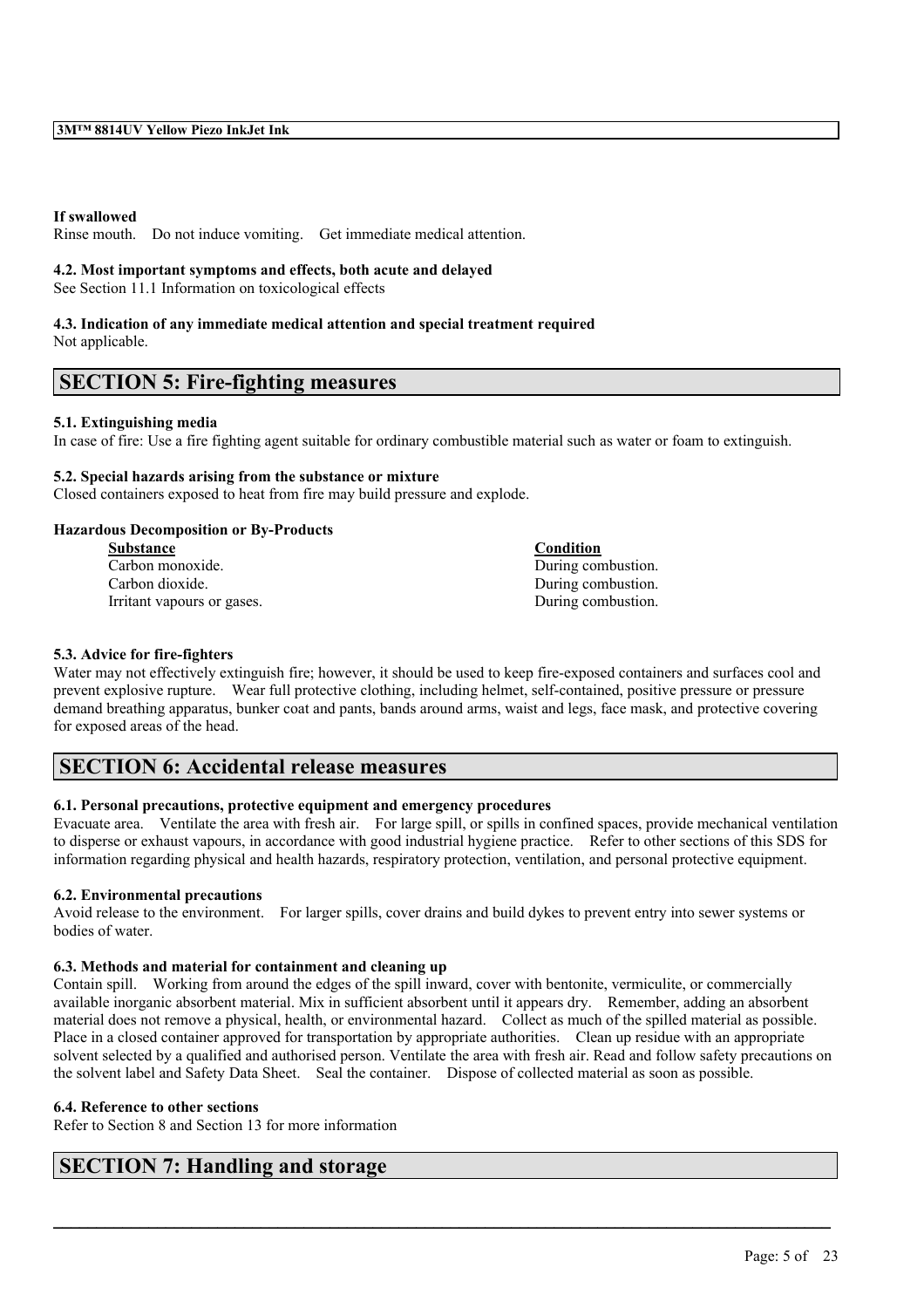## **If swallowed**

Rinse mouth. Do not induce vomiting. Get immediate medical attention.

#### **4.2. Most important symptoms and effects, both acute and delayed**

See Section 11.1 Information on toxicological effects

# **4.3. Indication of any immediate medical attention and special treatment required**

Not applicable.

# **SECTION 5: Fire-fighting measures**

## **5.1. Extinguishing media**

In case of fire: Use a fire fighting agent suitable for ordinary combustible material such as water or foam to extinguish.

## **5.2. Special hazards arising from the substance or mixture**

Closed containers exposed to heat from fire may build pressure and explode.

## **Hazardous Decomposition or By-Products**

| <b>Substance</b>           | Condition          |
|----------------------------|--------------------|
| Carbon monoxide.           | During combustion. |
| Carbon dioxide.            | During combustion. |
| Irritant vapours or gases. | During combustion. |

## **5.3. Advice for fire-fighters**

Water may not effectively extinguish fire; however, it should be used to keep fire-exposed containers and surfaces cool and prevent explosive rupture. Wear full protective clothing, including helmet, self-contained, positive pressure or pressure demand breathing apparatus, bunker coat and pants, bands around arms, waist and legs, face mask, and protective covering for exposed areas of the head.

## **SECTION 6: Accidental release measures**

## **6.1. Personal precautions, protective equipment and emergency procedures**

Evacuate area. Ventilate the area with fresh air. For large spill, or spills in confined spaces, provide mechanical ventilation to disperse or exhaust vapours, in accordance with good industrial hygiene practice. Refer to other sections of this SDS for information regarding physical and health hazards, respiratory protection, ventilation, and personal protective equipment.

## **6.2. Environmental precautions**

Avoid release to the environment. For larger spills, cover drains and build dykes to prevent entry into sewer systems or bodies of water.

#### **6.3. Methods and material for containment and cleaning up**

Contain spill. Working from around the edges of the spill inward, cover with bentonite, vermiculite, or commercially available inorganic absorbent material. Mix in sufficient absorbent until it appears dry. Remember, adding an absorbent material does not remove a physical, health, or environmental hazard. Collect as much of the spilled material as possible. Place in a closed container approved for transportation by appropriate authorities. Clean up residue with an appropriate solvent selected by a qualified and authorised person. Ventilate the area with fresh air. Read and follow safety precautions on the solvent label and Safety Data Sheet. Seal the container. Dispose of collected material as soon as possible.

 $\mathcal{L}_\mathcal{L} = \mathcal{L}_\mathcal{L} = \mathcal{L}_\mathcal{L} = \mathcal{L}_\mathcal{L} = \mathcal{L}_\mathcal{L} = \mathcal{L}_\mathcal{L} = \mathcal{L}_\mathcal{L} = \mathcal{L}_\mathcal{L} = \mathcal{L}_\mathcal{L} = \mathcal{L}_\mathcal{L} = \mathcal{L}_\mathcal{L} = \mathcal{L}_\mathcal{L} = \mathcal{L}_\mathcal{L} = \mathcal{L}_\mathcal{L} = \mathcal{L}_\mathcal{L} = \mathcal{L}_\mathcal{L} = \mathcal{L}_\mathcal{L}$ 

#### **6.4. Reference to other sections**

Refer to Section 8 and Section 13 for more information

# **SECTION 7: Handling and storage**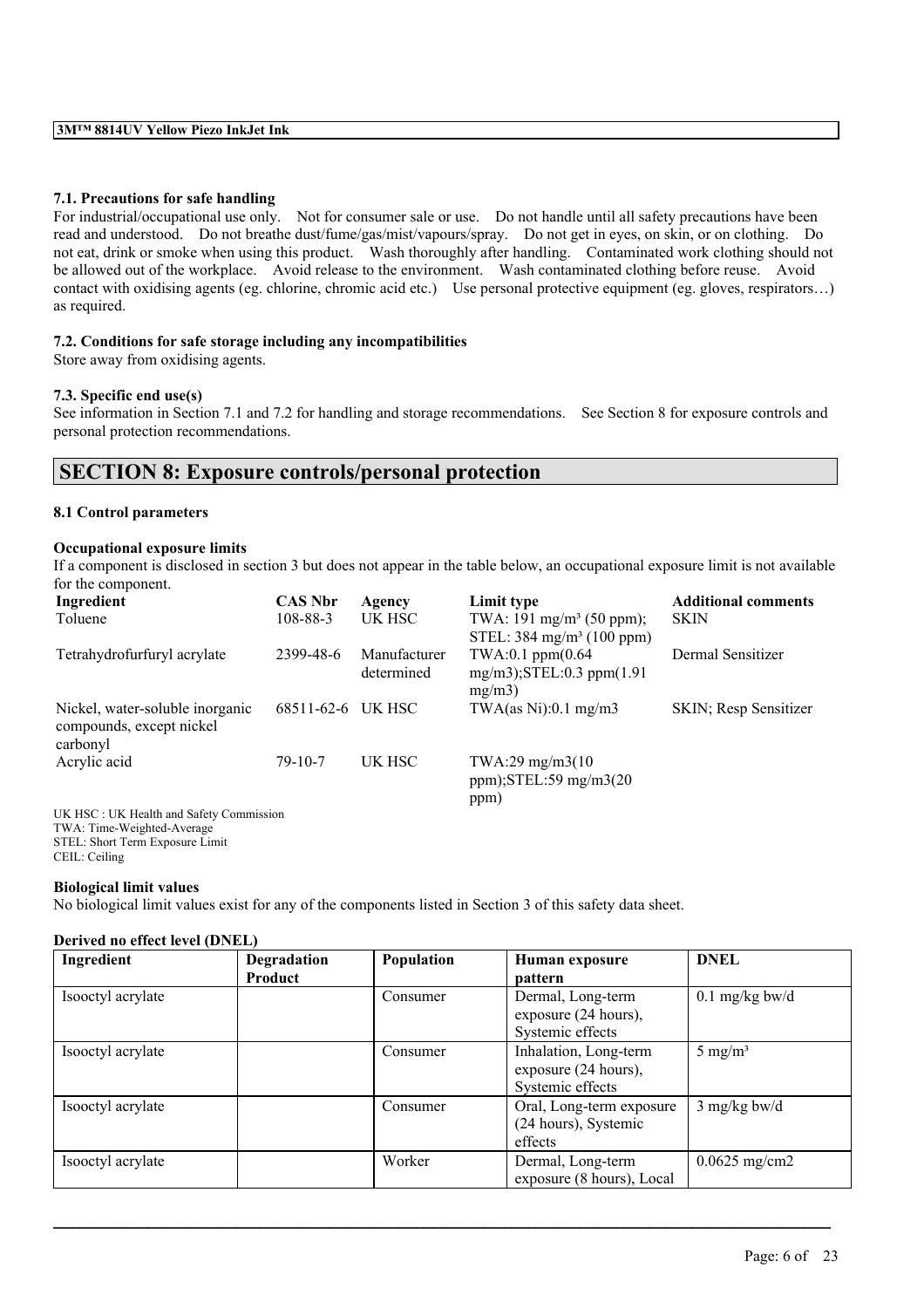## **7.1. Precautions for safe handling**

For industrial/occupational use only. Not for consumer sale or use. Do not handle until all safety precautions have been read and understood. Do not breathe dust/fume/gas/mist/vapours/spray. Do not get in eyes, on skin, or on clothing. Do not eat, drink or smoke when using this product. Wash thoroughly after handling. Contaminated work clothing should not be allowed out of the workplace. Avoid release to the environment. Wash contaminated clothing before reuse. Avoid contact with oxidising agents (eg. chlorine, chromic acid etc.) Use personal protective equipment (eg. gloves, respirators…) as required.

## **7.2. Conditions for safe storage including any incompatibilities**

Store away from oxidising agents.

## **7.3. Specific end use(s)**

See information in Section 7.1 and 7.2 for handling and storage recommendations. See Section 8 for exposure controls and personal protection recommendations.

## **SECTION 8: Exposure controls/personal protection**

## **8.1 Control parameters**

## **Occupational exposure limits**

If a component is disclosed in section 3 but does not appear in the table below, an occupational exposure limit is not available for the component.

| Ingredient                                                                       | <b>CAS Nbr</b>    | Agency                     | Limit type                                                                   | <b>Additional comments</b> |
|----------------------------------------------------------------------------------|-------------------|----------------------------|------------------------------------------------------------------------------|----------------------------|
| Toluene                                                                          | $108 - 88 - 3$    | UK HSC                     | TWA: 191 mg/m <sup>3</sup> (50 ppm);<br>STEL: $384 \text{ mg/m}^3$ (100 ppm) | <b>SKIN</b>                |
| Tetrahydrofurfuryl acrylate                                                      | 2399-48-6         | Manufacturer<br>determined | $TWA:0.1$ ppm $(0.64)$<br>$mg/m3$ ; STEL: 0.3 ppm $(1.91)$<br>mg/m3          | Dermal Sensitizer          |
| Nickel, water-soluble inorganic<br>compounds, except nickel<br>carbonyl          | 68511-62-6 UK HSC |                            | TWA $(as Ni):0.1 mg/m3$                                                      | SKIN; Resp Sensitizer      |
| Acrylic acid                                                                     | $79 - 10 - 7$     | UK HSC                     | TWA:29 mg/m3(10)<br>ppm); $STEL:59$ mg/m $3(20)$<br>ppm)                     |                            |
| UK HSC: UK Health and Safety Commission<br>$TWA \cdot T_{rms}$ Weighted Assesses |                   |                            |                                                                              |                            |

TWA: Time-Weighted-Average STEL: Short Term Exposure Limit CEIL: Ceiling

#### **Biological limit values**

No biological limit values exist for any of the components listed in Section 3 of this safety data sheet.

#### **Derived no effect level (DNEL)**

| Ingredient        | Degradation | Population | Human exposure            | <b>DNEL</b>        |
|-------------------|-------------|------------|---------------------------|--------------------|
|                   | Product     |            | pattern                   |                    |
| Isooctyl acrylate |             | Consumer   | Dermal, Long-term         | $0.1$ mg/kg bw/d   |
|                   |             |            | exposure (24 hours),      |                    |
|                   |             |            | Systemic effects          |                    |
| Isooctyl acrylate |             | Consumer   | Inhalation, Long-term     | $5 \text{ mg/m}^3$ |
|                   |             |            | exposure (24 hours),      |                    |
|                   |             |            | Systemic effects          |                    |
| Isooctyl acrylate |             | Consumer   | Oral, Long-term exposure  | $3$ mg/kg bw/d     |
|                   |             |            | (24 hours), Systemic      |                    |
|                   |             |            | effects                   |                    |
| Isooctyl acrylate |             | Worker     | Dermal, Long-term         | $0.0625$ mg/cm2    |
|                   |             |            | exposure (8 hours), Local |                    |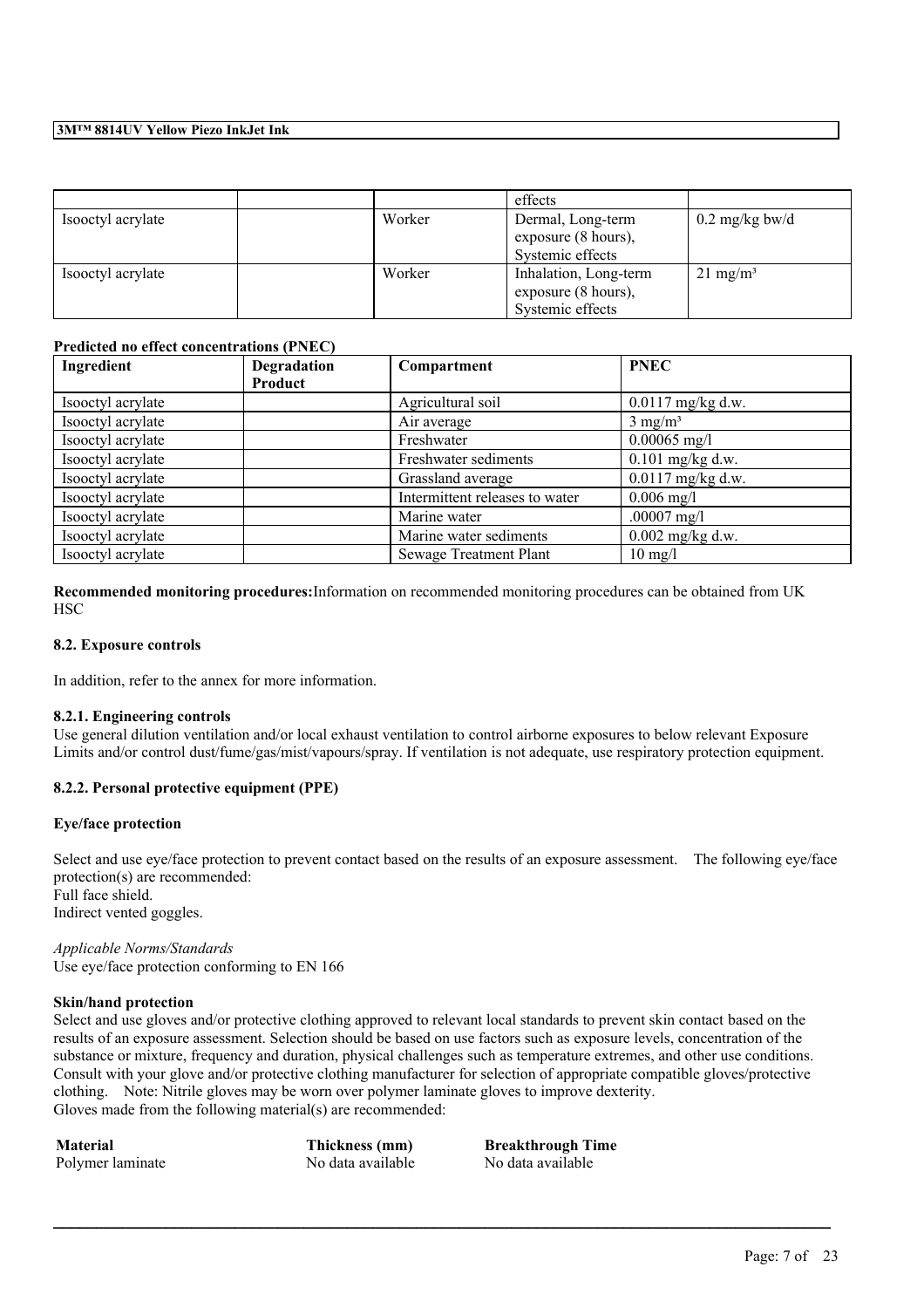|                   |        | effects               |                          |
|-------------------|--------|-----------------------|--------------------------|
| Isooctyl acrylate | Worker | Dermal, Long-term     | $0.2 \text{ mg/kg}$ bw/d |
|                   |        | exposure (8 hours),   |                          |
|                   |        | Systemic effects      |                          |
| Isooctyl acrylate | Worker | Inhalation, Long-term | $21 \text{ mg/m}^3$      |
|                   |        | exposure (8 hours),   |                          |
|                   |        | Systemic effects      |                          |

## **Predicted no effect concentrations (PNEC)**

| Ingredient        | <b>Degradation</b> | Compartment                    | <b>PNEC</b>         |
|-------------------|--------------------|--------------------------------|---------------------|
|                   | Product            |                                |                     |
| Isooctyl acrylate |                    | Agricultural soil              | $0.0117$ mg/kg d.w. |
| Isooctyl acrylate |                    | Air average                    | $3 \text{ mg/m}^3$  |
| Isooctyl acrylate |                    | Freshwater                     | $0.00065$ mg/l      |
| Isooctyl acrylate |                    | Freshwater sediments           | $0.101$ mg/kg d.w.  |
| Isooctyl acrylate |                    | Grassland average              | $0.0117$ mg/kg d.w. |
| Isooctyl acrylate |                    | Intermittent releases to water | $0.006$ mg/l        |
| Isooctyl acrylate |                    | Marine water                   | .00007 $mg/l$       |
| Isooctyl acrylate |                    | Marine water sediments         | $0.002$ mg/kg d.w.  |
| Isooctyl acrylate |                    | Sewage Treatment Plant         | $10 \text{ mg/l}$   |

**Recommended monitoring procedures:**Information on recommended monitoring procedures can be obtained from UK **HSC** 

#### **8.2. Exposure controls**

In addition, refer to the annex for more information.

#### **8.2.1. Engineering controls**

Use general dilution ventilation and/or local exhaust ventilation to control airborne exposures to below relevant Exposure Limits and/or control dust/fume/gas/mist/vapours/spray. If ventilation is not adequate, use respiratory protection equipment.

## **8.2.2. Personal protective equipment (PPE)**

## **Eye/face protection**

Select and use eve/face protection to prevent contact based on the results of an exposure assessment. The following eve/face protection(s) are recommended: Full face shield.

Indirect vented goggles.

*Applicable Norms/Standards* Use eye/face protection conforming to EN 166

#### **Skin/hand protection**

Select and use gloves and/or protective clothing approved to relevant local standards to prevent skin contact based on the results of an exposure assessment. Selection should be based on use factors such as exposure levels, concentration of the substance or mixture, frequency and duration, physical challenges such as temperature extremes, and other use conditions. Consult with your glove and/or protective clothing manufacturer for selection of appropriate compatible gloves/protective clothing. Note: Nitrile gloves may be worn over polymer laminate gloves to improve dexterity. Gloves made from the following material(s) are recommended:

 $\mathcal{L}_\mathcal{L} = \mathcal{L}_\mathcal{L} = \mathcal{L}_\mathcal{L} = \mathcal{L}_\mathcal{L} = \mathcal{L}_\mathcal{L} = \mathcal{L}_\mathcal{L} = \mathcal{L}_\mathcal{L} = \mathcal{L}_\mathcal{L} = \mathcal{L}_\mathcal{L} = \mathcal{L}_\mathcal{L} = \mathcal{L}_\mathcal{L} = \mathcal{L}_\mathcal{L} = \mathcal{L}_\mathcal{L} = \mathcal{L}_\mathcal{L} = \mathcal{L}_\mathcal{L} = \mathcal{L}_\mathcal{L} = \mathcal{L}_\mathcal{L}$ 

Polymer laminate No data available No data available

**Material Thickness (mm) Breakthrough Time**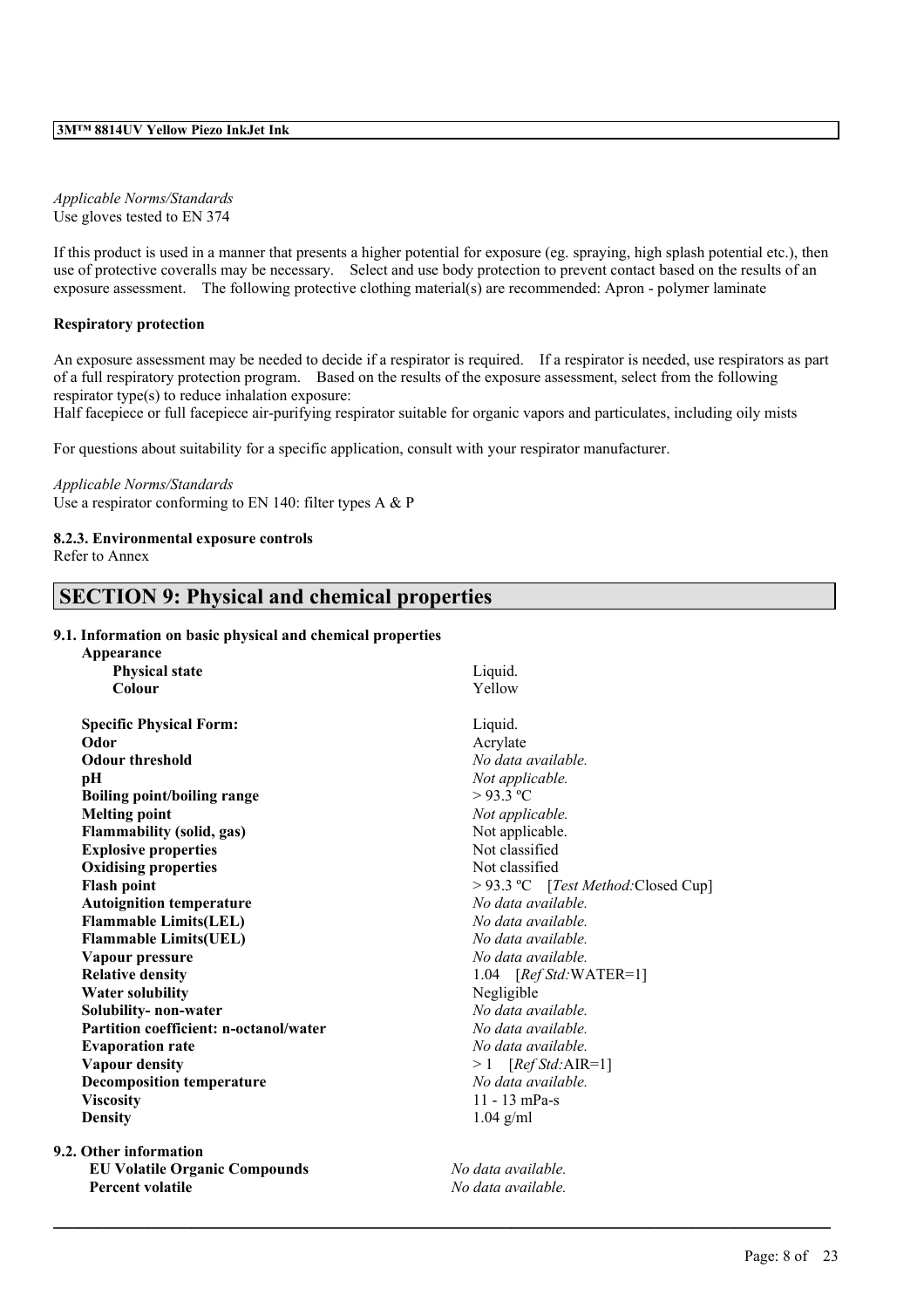## *Applicable Norms/Standards* Use gloves tested to EN 374

If this product is used in a manner that presents a higher potential for exposure (eg. spraying, high splash potential etc.), then use of protective coveralls may be necessary. Select and use body protection to prevent contact based on the results of an exposure assessment. The following protective clothing material(s) are recommended: Apron - polymer laminate

## **Respiratory protection**

An exposure assessment may be needed to decide if a respirator is required. If a respirator is needed, use respirators as part of a full respiratory protection program. Based on the results of the exposure assessment, select from the following respirator type(s) to reduce inhalation exposure:

Half facepiece or full facepiece air-purifying respirator suitable for organic vapors and particulates, including oily mists

For questions about suitability for a specific application, consult with your respirator manufacturer.

## *Applicable Norms/Standards*

Use a respirator conforming to EN 140: filter types A  $\&$  P

## **8.2.3. Environmental exposure controls**

Refer to Annex

# **SECTION 9: Physical and chemical properties**

## **9.1. Information on basic physical and chemical properties**

| Appearance                             |                                    |  |  |
|----------------------------------------|------------------------------------|--|--|
| <b>Physical state</b>                  | Liquid.                            |  |  |
| Colour                                 | Yellow                             |  |  |
| <b>Specific Physical Form:</b>         | Liquid.                            |  |  |
| Odor                                   | Acrylate                           |  |  |
| <b>Odour threshold</b>                 | No data available.                 |  |  |
| pН                                     | Not applicable.                    |  |  |
| Boiling point/boiling range            | $>93.3$ °C                         |  |  |
| <b>Melting point</b>                   | Not applicable.                    |  |  |
| <b>Flammability</b> (solid, gas)       | Not applicable.                    |  |  |
| <b>Explosive properties</b>            | Not classified                     |  |  |
| <b>Oxidising properties</b>            | Not classified                     |  |  |
| <b>Flash point</b>                     | > 93.3 °C [Test Method:Closed Cup] |  |  |
| <b>Autoignition temperature</b>        | No data available.                 |  |  |
| <b>Flammable Limits(LEL)</b>           | No data available.                 |  |  |
| <b>Flammable Limits(UEL)</b>           | No data available.                 |  |  |
| Vapour pressure                        | No data available.                 |  |  |
| <b>Relative density</b>                | 1.04 $[RefStd:WATER=1]$            |  |  |
| <b>Water solubility</b>                | Negligible                         |  |  |
| Solubility-non-water                   | No data available.                 |  |  |
| Partition coefficient: n-octanol/water | No data available.                 |  |  |
| <b>Evaporation rate</b>                | No data available.                 |  |  |
| <b>Vapour density</b>                  | $>1$ [Ref Std:AIR=1]               |  |  |
| <b>Decomposition temperature</b>       | No data available.                 |  |  |
| <b>Viscosity</b>                       | $11 - 13$ mPa-s                    |  |  |
| <b>Density</b><br>$1.04$ g/ml          |                                    |  |  |
| 9.2. Other information                 |                                    |  |  |
| <b>EU Volatile Organic Compounds</b>   | No data available.                 |  |  |

**Percent volatile** *No data available.*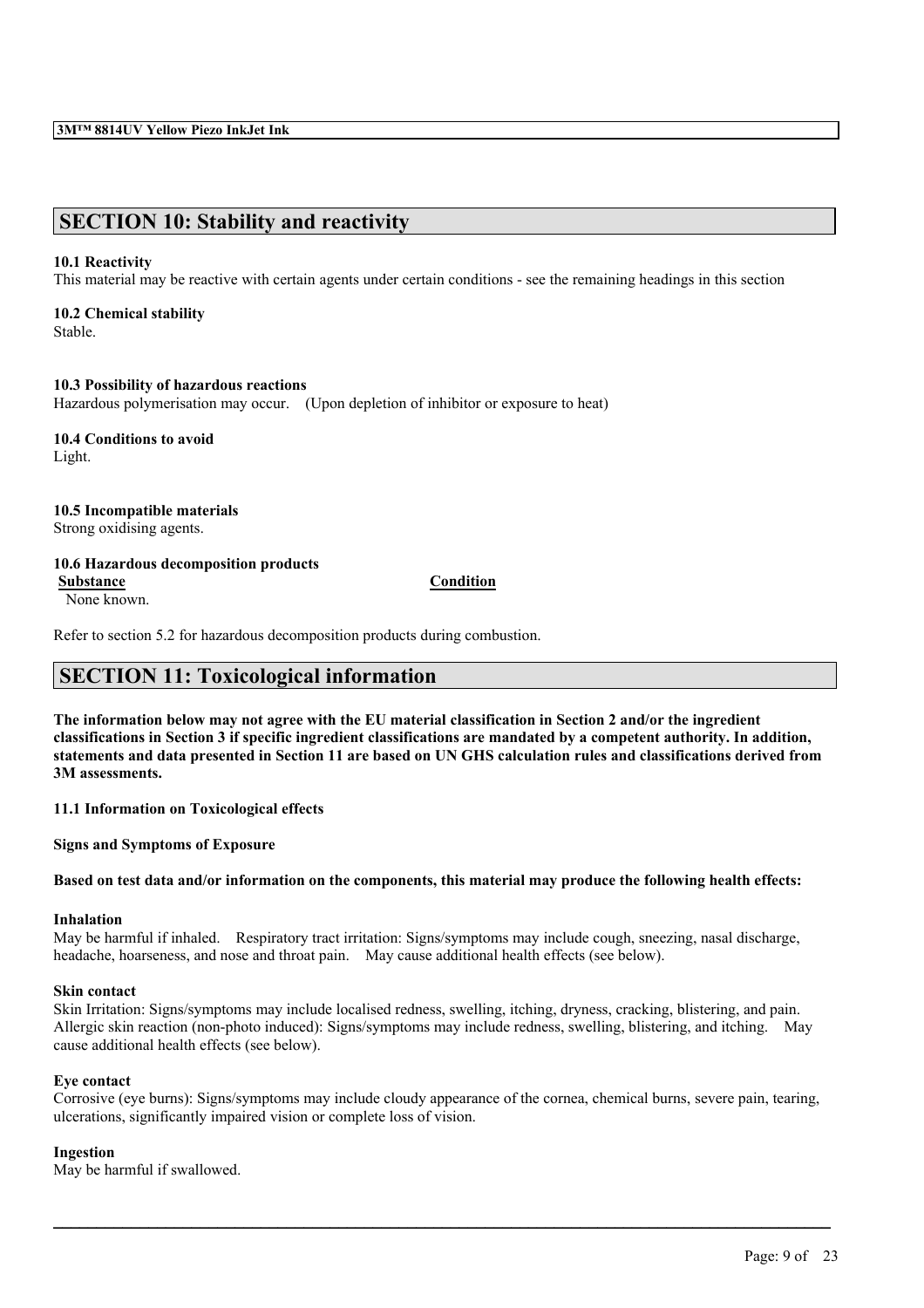# **SECTION 10: Stability and reactivity**

## **10.1 Reactivity**

This material may be reactive with certain agents under certain conditions - see the remaining headings in this section

## **10.2 Chemical stability**

Stable.

## **10.3 Possibility of hazardous reactions**

Hazardous polymerisation may occur. (Upon depletion of inhibitor or exposure to heat)

**10.4 Conditions to avoid** Light.

**10.5 Incompatible materials**

## Strong oxidising agents.

## **10.6 Hazardous decomposition products**

**Substance Condition**

None known.

Refer to section 5.2 for hazardous decomposition products during combustion.

# **SECTION 11: Toxicological information**

The information below may not agree with the EU material classification in Section 2 and/or the ingredient classifications in Section 3 if specific ingredient classifications are mandated by a competent authority. In addition, statements and data presented in Section 11 are based on UN GHS calculation rules and classifications derived from **3M assessments.**

**11.1 Information on Toxicological effects**

**Signs and Symptoms of Exposure**

Based on test data and/or information on the components, this material may produce the following health effects:

#### **Inhalation**

May be harmful if inhaled. Respiratory tract irritation: Signs/symptoms may include cough, sneezing, nasal discharge, headache, hoarseness, and nose and throat pain. May cause additional health effects (see below).

## **Skin contact**

Skin Irritation: Signs/symptoms may include localised redness, swelling, itching, dryness, cracking, blistering, and pain. Allergic skin reaction (non-photo induced): Signs/symptoms may include redness, swelling, blistering, and itching. May cause additional health effects (see below).

## **Eye contact**

Corrosive (eye burns): Signs/symptoms may include cloudy appearance of the cornea, chemical burns, severe pain, tearing, ulcerations, significantly impaired vision or complete loss of vision.

 $\mathcal{L}_\mathcal{L} = \mathcal{L}_\mathcal{L} = \mathcal{L}_\mathcal{L} = \mathcal{L}_\mathcal{L} = \mathcal{L}_\mathcal{L} = \mathcal{L}_\mathcal{L} = \mathcal{L}_\mathcal{L} = \mathcal{L}_\mathcal{L} = \mathcal{L}_\mathcal{L} = \mathcal{L}_\mathcal{L} = \mathcal{L}_\mathcal{L} = \mathcal{L}_\mathcal{L} = \mathcal{L}_\mathcal{L} = \mathcal{L}_\mathcal{L} = \mathcal{L}_\mathcal{L} = \mathcal{L}_\mathcal{L} = \mathcal{L}_\mathcal{L}$ 

## **Ingestion**

May be harmful if swallowed.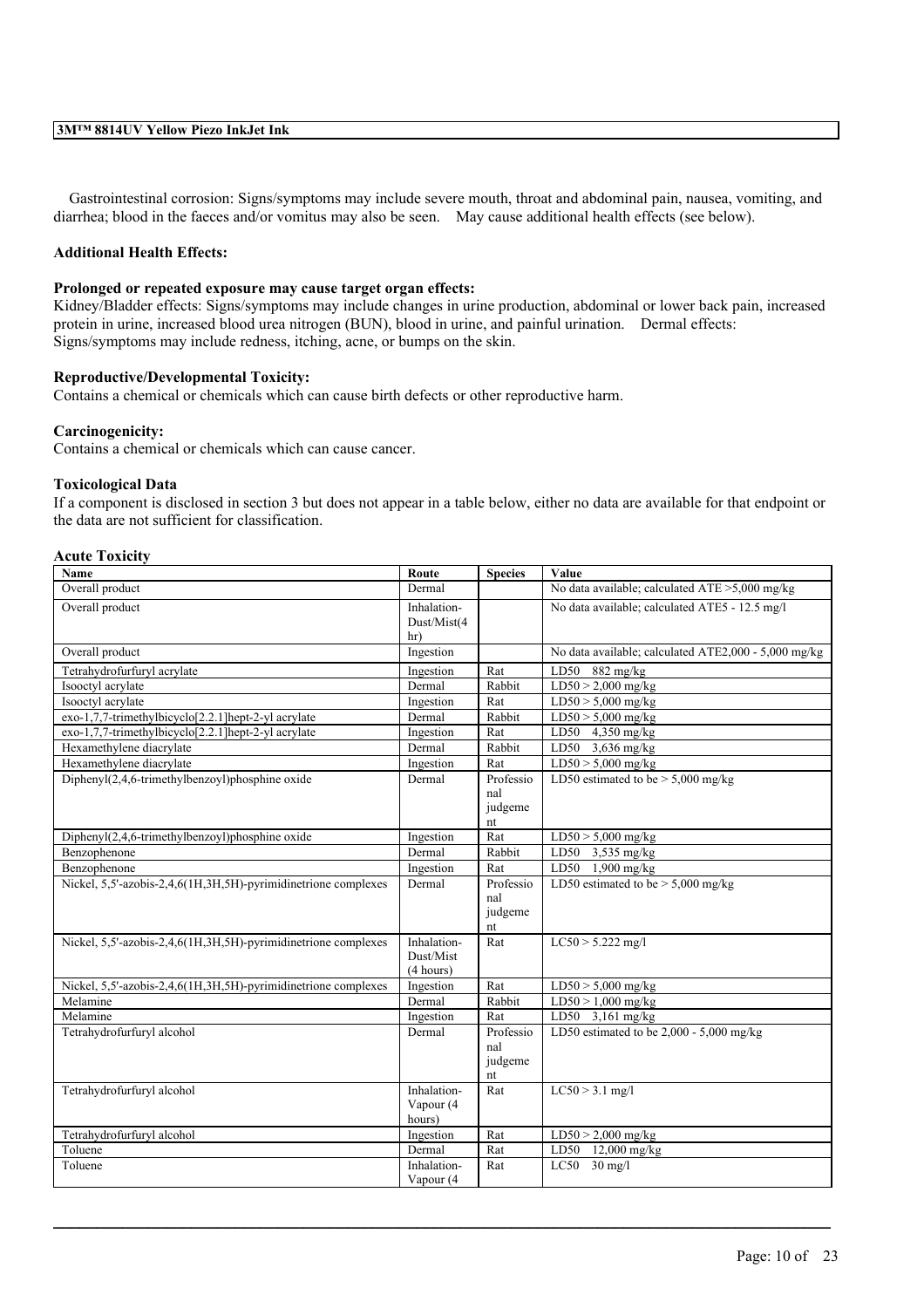Gastrointestinal corrosion: Signs/symptoms may include severe mouth, throat and abdominal pain, nausea, vomiting, and diarrhea; blood in the faeces and/or vomitus may also be seen. May cause additional health effects (see below).

## **Additional Health Effects:**

## **Prolonged or repeated exposure may cause target organ effects:**

Kidney/Bladder effects: Signs/symptoms may include changes in urine production, abdominal or lower back pain, increased protein in urine, increased blood urea nitrogen (BUN), blood in urine, and painful urination. Dermal effects: Signs/symptoms may include redness, itching, acne, or bumps on the skin.

## **Reproductive/Developmental Toxicity:**

Contains a chemical or chemicals which can cause birth defects or other reproductive harm.

## **Carcinogenicity:**

Contains a chemical or chemicals which can cause cancer.

#### **Toxicological Data**

If a component is disclosed in section 3 but does not appear in a table below, either no data are available for that endpoint or the data are not sufficient for classification.

#### **Acute Toxicity**

| Name                                                           | Route                                 | <b>Species</b>                    | Value                                                |
|----------------------------------------------------------------|---------------------------------------|-----------------------------------|------------------------------------------------------|
| Overall product                                                | Dermal                                |                                   | No data available; calculated ATE >5,000 mg/kg       |
| Overall product                                                | Inhalation-<br>Dust/Mist(4<br>hr)     |                                   | No data available; calculated ATE5 - 12.5 mg/l       |
| Overall product                                                | Ingestion                             |                                   | No data available; calculated ATE2,000 - 5,000 mg/kg |
| Tetrahydrofurfuryl acrylate                                    | Ingestion                             | Rat                               | LD50<br>$882$ mg/kg                                  |
| Isooctyl acrylate                                              | Dermal                                | Rabbit                            | $LD50 > 2,000$ mg/kg                                 |
| Isooctyl acrylate                                              | Ingestion                             | Rat                               | $LD50 > 5,000$ mg/kg                                 |
| exo-1,7,7-trimethylbicyclo[2.2.1]hept-2-yl acrylate            | Dermal                                | Rabbit                            | $LD50 > 5,000$ mg/kg                                 |
| exo-1,7,7-trimethylbicyclo[2.2.1]hept-2-yl acrylate            | Ingestion                             | Rat                               | LD50 4,350 mg/kg                                     |
| Hexamethylene diacrylate                                       | Dermal                                | Rabbit                            | LD50 3,636 mg/kg                                     |
| Hexamethylene diacrylate                                       | Ingestion                             | Rat                               | $LD50 > 5,000$ mg/kg                                 |
| Diphenyl(2,4,6-trimethylbenzoyl)phosphine oxide                | Dermal                                | Professio<br>nal<br>judgeme<br>nt | LD50 estimated to be $> 5,000$ mg/kg                 |
| Diphenyl(2,4,6-trimethylbenzoyl)phosphine oxide                | Ingestion                             | Rat                               | $LD50 > 5,000$ mg/kg                                 |
| Benzophenone                                                   | Dermal                                | Rabbit                            | LD50 $3,535$ mg/kg                                   |
| Benzophenone                                                   | Ingestion                             | Rat                               | LD50 $1,900$ mg/kg                                   |
| Nickel, 5.5'-azobis-2,4,6(1H,3H,5H)-pyrimidinetrione complexes | Dermal                                | Professio<br>nal<br>judgeme<br>nt | LD50 estimated to be $> 5,000$ mg/kg                 |
| Nickel, 5.5'-azobis-2,4,6(1H,3H,5H)-pyrimidinetrione complexes | Inhalation-<br>Dust/Mist<br>(4 hours) | Rat                               | $LC50 > 5.222$ mg/l                                  |
| Nickel, 5,5'-azobis-2,4,6(1H,3H,5H)-pyrimidinetrione complexes | Ingestion                             | Rat                               | $LD50 > 5,000$ mg/kg                                 |
| Melamine                                                       | Dermal                                | Rabbit                            | $LD50 > 1,000$ mg/kg                                 |
| Melamine                                                       | Ingestion                             | Rat                               | LD50 3,161 mg/kg                                     |
| Tetrahydrofurfuryl alcohol                                     | Dermal                                | Professio<br>nal<br>judgeme<br>nt | LD50 estimated to be $2,000 - 5,000$ mg/kg           |
| Tetrahydrofurfuryl alcohol                                     | Inhalation-<br>Vapour (4<br>hours)    | Rat                               | $LC50 > 3.1$ mg/l                                    |
| Tetrahydrofurfuryl alcohol                                     | Ingestion                             | Rat                               | $LD50 > 2,000$ mg/kg                                 |
| Toluene                                                        | Dermal                                | Rat                               | LD50 12,000 mg/kg                                    |
| Toluene                                                        | Inhalation-<br>Vapour (4              | Rat                               | $LC50$ 30 mg/l                                       |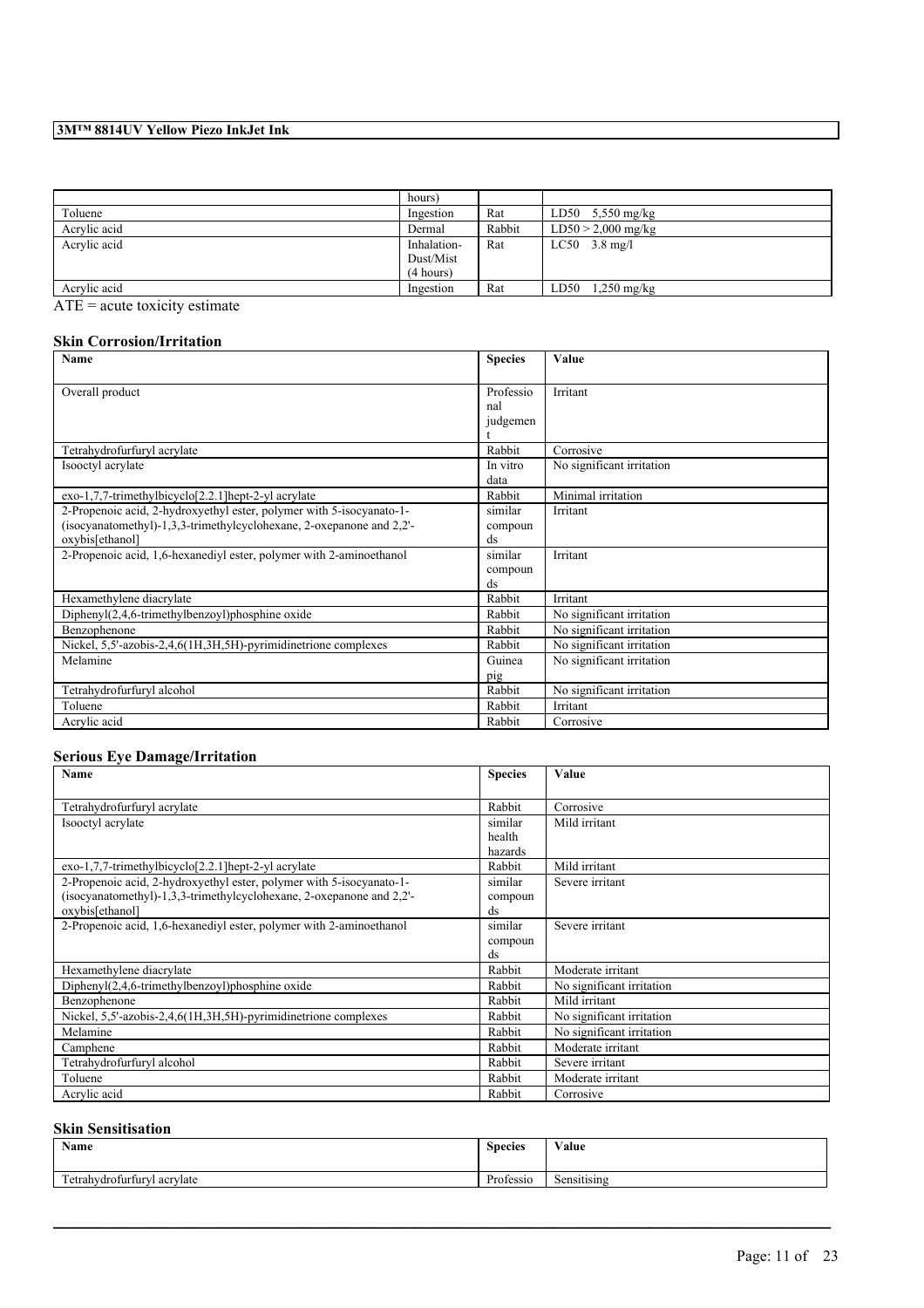|              | hours)      |        |                       |
|--------------|-------------|--------|-----------------------|
| Toluene      | Ingestion   | Rat    | LD50 $5,550$ mg/kg    |
| Acrylic acid | Dermal      | Rabbit | $LD50 > 2,000$ mg/kg  |
| Acrylic acid | Inhalation- | Rat    | $LC50$ 3.8 mg/l       |
|              | Dust/Mist   |        |                       |
|              | (4 hours)   |        |                       |
| Acrylic acid | Ingestion   | Rat    | LD50<br>$1,250$ mg/kg |

ATE = acute toxicity estimate

## **Skin Corrosion/Irritation**

| Name                                                                 | <b>Species</b> | Value                     |
|----------------------------------------------------------------------|----------------|---------------------------|
|                                                                      |                |                           |
| Overall product                                                      | Professio      | Irritant                  |
|                                                                      | nal            |                           |
|                                                                      | judgemen       |                           |
|                                                                      |                |                           |
| Tetrahydrofurfuryl acrylate                                          | Rabbit         | Corrosive                 |
| Isooctyl acrylate                                                    | In vitro       | No significant irritation |
|                                                                      | data           |                           |
| exo-1,7,7-trimethylbicyclo[2.2.1] hept-2-yl acrylate                 | Rabbit         | Minimal irritation        |
| 2-Propenoic acid, 2-hydroxyethyl ester, polymer with 5-isocyanato-1- | similar        | Irritant                  |
| (isocyanatomethyl)-1,3,3-trimethylcyclohexane, 2-oxepanone and 2,2'- | compoun        |                           |
| oxybis[ethanol]                                                      | ds             |                           |
| 2-Propenoic acid, 1,6-hexanediyl ester, polymer with 2-aminoethanol  | similar        | Irritant                  |
|                                                                      | compoun        |                           |
|                                                                      | ds             |                           |
| Hexamethylene diacrylate                                             | Rabbit         | Irritant                  |
| $Dipheny I(2,4,6-trimethylbenzoyl)phosphine oxide$                   | Rabbit         | No significant irritation |
| Benzophenone                                                         | Rabbit         | No significant irritation |
| Nickel, 5,5'-azobis-2,4,6(1H,3H,5H)-pyrimidinetrione complexes       | Rabbit         | No significant irritation |
| Melamine                                                             | Guinea         | No significant irritation |
|                                                                      | pig            |                           |
| Tetrahydrofurfuryl alcohol                                           | Rabbit         | No significant irritation |
| Toluene                                                              | Rabbit         | Irritant                  |
| Acrylic acid                                                         | Rabbit         | Corrosive                 |

## **Serious Eye Damage/Irritation**

| <b>Name</b>                                                          | <b>Species</b>         | Value                     |
|----------------------------------------------------------------------|------------------------|---------------------------|
|                                                                      |                        |                           |
| Tetrahydrofurfuryl acrylate                                          | Rabbit                 | Corrosive                 |
| Isooctyl acrylate                                                    | similar                | Mild irritant             |
|                                                                      | health                 |                           |
|                                                                      | hazards                |                           |
| exo-1,7,7-trimethylbicyclo[2.2.1]hept-2-yl acrylate                  | Rabbit                 | Mild irritant             |
| 2-Propenoic acid, 2-hydroxyethyl ester, polymer with 5-isocyanato-1- | similar                | Severe irritant           |
| (isocyanatomethyl)-1,3,3-trimethylcyclohexane, 2-oxepanone and 2,2'- | compoun                |                           |
| oxybis[ethanol]                                                      | ds                     |                           |
| 2-Propenoic acid, 1,6-hexanediyl ester, polymer with 2-aminoethanol  | similar                | Severe irritant           |
|                                                                      | compoun                |                           |
|                                                                      | $\mathrm{d}\mathrm{s}$ |                           |
| Hexamethylene diacrylate                                             | Rabbit                 | Moderate irritant         |
| $Dipheny I(2,4,6-trimethylbenzoyl)phosphine oxide$                   | Rabbit                 | No significant irritation |
| Benzophenone                                                         | Rabbit                 | Mild irritant             |
| Nickel, 5.5'-azobis-2,4,6(1H,3H,5H)-pyrimidinetrione complexes       | Rabbit                 | No significant irritation |
| Melamine                                                             | Rabbit                 | No significant irritation |
| Camphene                                                             | Rabbit                 | Moderate irritant         |
| Tetrahydrofurfuryl alcohol                                           | Rabbit                 | Severe irritant           |
| Toluene                                                              | Rabbit                 | Moderate irritant         |
| Acrylic acid                                                         | Rabbit                 | Corrosive                 |

## **Skin Sensitisation**

| Name                                      | <b>Species</b> | Value       |
|-------------------------------------------|----------------|-------------|
| company of<br>Tetrahydrofurfuryl acrylate | Professio      | Sensitising |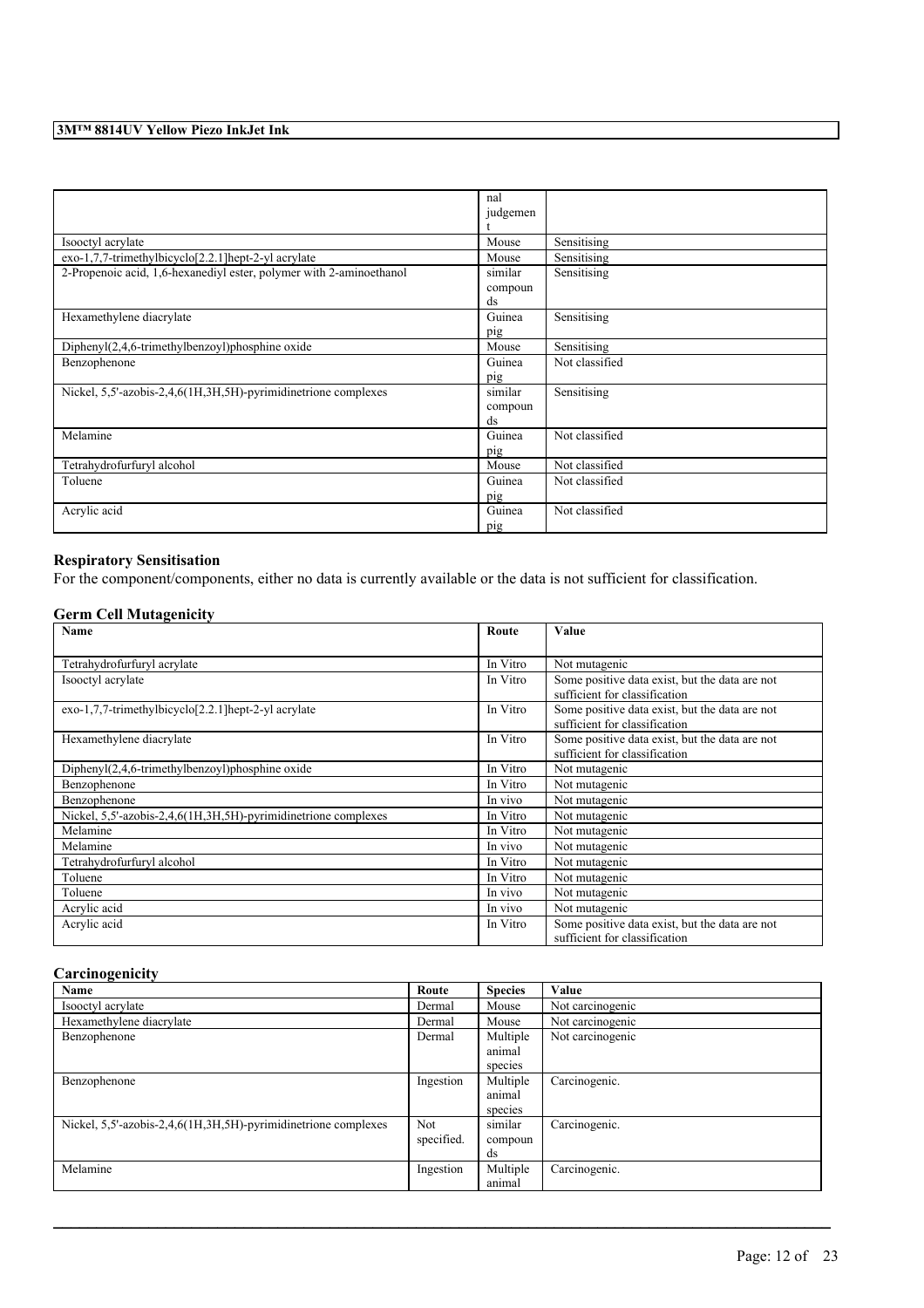|                                                                     | nal      |                |
|---------------------------------------------------------------------|----------|----------------|
|                                                                     | judgemen |                |
|                                                                     |          |                |
|                                                                     |          |                |
| Isooctyl acrylate                                                   | Mouse    | Sensitising    |
| exo-1,7,7-trimethylbicyclo[2.2.1] hept-2-yl acrylate                | Mouse    | Sensitising    |
| 2-Propenoic acid, 1,6-hexanediyl ester, polymer with 2-aminoethanol | similar  | Sensitising    |
|                                                                     | compoun  |                |
|                                                                     | ds       |                |
| Hexamethylene diacrylate                                            | Guinea   | Sensitising    |
|                                                                     | pig      |                |
| $Dipheny I(2,4,6-trimethylbenzoyl)phosphine oxide$                  | Mouse    | Sensitising    |
| Benzophenone                                                        | Guinea   | Not classified |
|                                                                     | pig      |                |
| Nickel, 5,5'-azobis-2,4,6(1H,3H,5H)-pyrimidinetrione complexes      | similar  | Sensitising    |
|                                                                     | compoun  |                |
|                                                                     | ds       |                |
| Melamine                                                            | Guinea   | Not classified |
|                                                                     | pig      |                |
| Tetrahydrofurfuryl alcohol                                          | Mouse    | Not classified |
| Toluene                                                             | Guinea   | Not classified |
|                                                                     | pig      |                |
| Acrylic acid                                                        | Guinea   | Not classified |
|                                                                     | pig      |                |

## **Respiratory Sensitisation**

For the component/components, either no data is currently available or the data is not sufficient for classification.

## **Germ Cell Mutagenicity**

| Name                                                           | Route    | Value                                                                           |
|----------------------------------------------------------------|----------|---------------------------------------------------------------------------------|
|                                                                |          |                                                                                 |
| Tetrahydrofurfuryl acrylate                                    | In Vitro | Not mutagenic                                                                   |
| Isooctyl acrylate                                              | In Vitro | Some positive data exist, but the data are not<br>sufficient for classification |
| exo-1,7,7-trimethylbicyclo[2.2.1] hept-2-yl acrylate           | In Vitro | Some positive data exist, but the data are not<br>sufficient for classification |
| Hexamethylene diacrylate                                       | In Vitro | Some positive data exist, but the data are not<br>sufficient for classification |
| $DiphenyI(2,4,6-trimethylbenzoyl)phosphine oxide$              | In Vitro | Not mutagenic                                                                   |
| Benzophenone                                                   | In Vitro | Not mutagenic                                                                   |
| Benzophenone                                                   | In vivo  | Not mutagenic                                                                   |
| Nickel, 5,5'-azobis-2,4,6(1H,3H,5H)-pyrimidinetrione complexes | In Vitro | Not mutagenic                                                                   |
| Melamine                                                       | In Vitro | Not mutagenic                                                                   |
| Melamine                                                       | In vivo  | Not mutagenic                                                                   |
| Tetrahydrofurfuryl alcohol                                     | In Vitro | Not mutagenic                                                                   |
| Toluene                                                        | In Vitro | Not mutagenic                                                                   |
| Toluene                                                        | In vivo  | Not mutagenic                                                                   |
| Acrylic acid                                                   | In vivo  | Not mutagenic                                                                   |
| Acrylic acid                                                   | In Vitro | Some positive data exist, but the data are not<br>sufficient for classification |

## **Carcinogenicity**

| $\cdot$<br>Name                                                | Route      | <b>Species</b> | Value            |
|----------------------------------------------------------------|------------|----------------|------------------|
| Isooctyl acrylate                                              | Dermal     | Mouse          | Not carcinogenic |
| Hexamethylene diacrylate                                       | Dermal     | Mouse          | Not carcinogenic |
| Benzophenone                                                   | Dermal     | Multiple       | Not carcinogenic |
|                                                                |            | animal         |                  |
|                                                                |            | species        |                  |
| Benzophenone                                                   | Ingestion  | Multiple       | Carcinogenic.    |
|                                                                |            | animal         |                  |
|                                                                |            | species        |                  |
| Nickel, 5,5'-azobis-2,4,6(1H,3H,5H)-pyrimidinetrione complexes | <b>Not</b> | similar        | Carcinogenic.    |
|                                                                | specified. | compoun        |                  |
|                                                                |            | ds             |                  |
| Melamine                                                       | Ingestion  | Multiple       | Carcinogenic.    |
|                                                                |            | animal         |                  |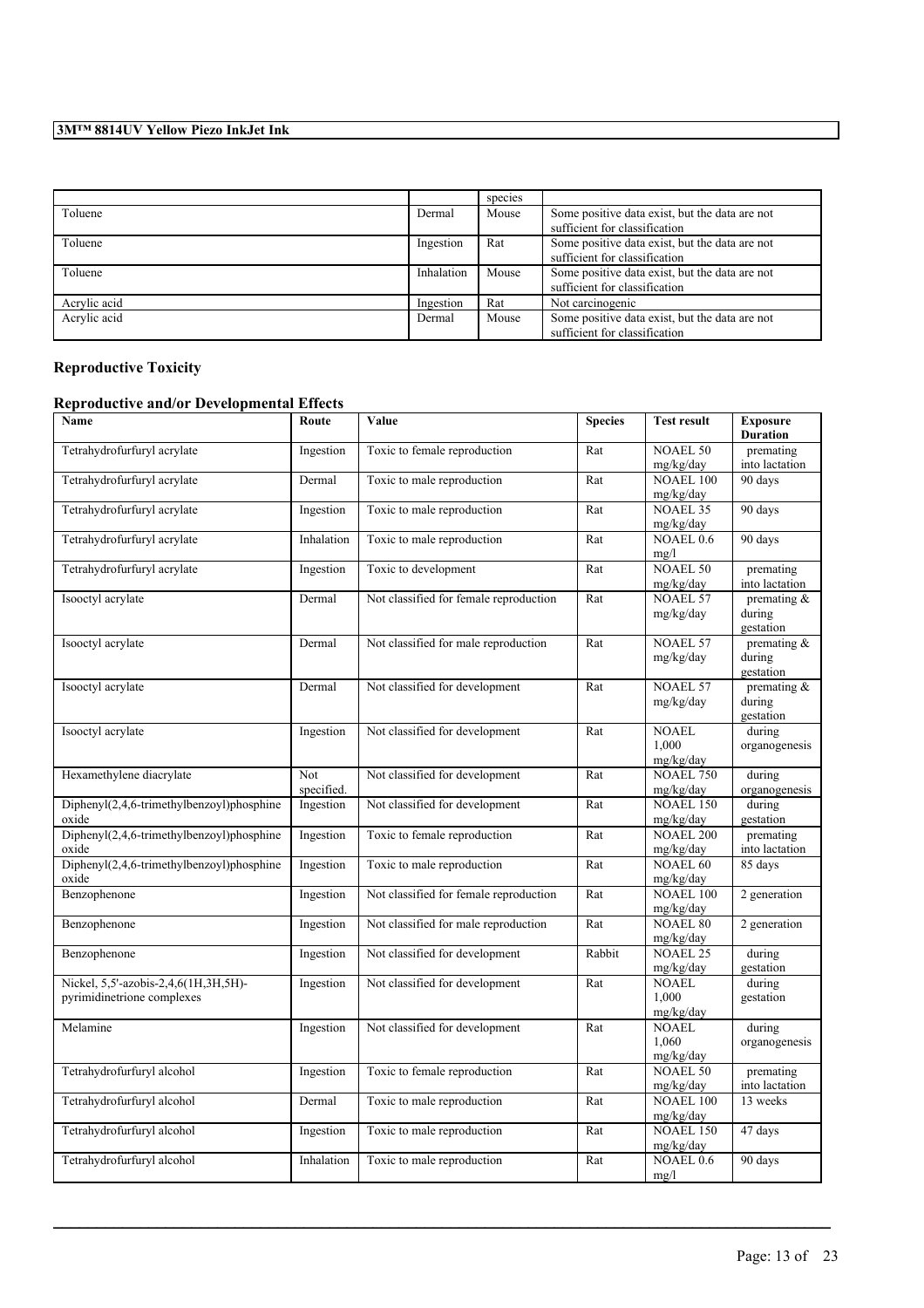|              |            | species |                                                                                 |
|--------------|------------|---------|---------------------------------------------------------------------------------|
| Toluene      | Dermal     | Mouse   | Some positive data exist, but the data are not<br>sufficient for classification |
| Toluene      | Ingestion  | Rat     | Some positive data exist, but the data are not<br>sufficient for classification |
| Toluene      | Inhalation | Mouse   | Some positive data exist, but the data are not<br>sufficient for classification |
| Acrylic acid | Ingestion  | Rat     | Not carcinogenic                                                                |
| Acrylic acid | Dermal     | Mouse   | Some positive data exist, but the data are not<br>sufficient for classification |

# **Reproductive Toxicity**

# **Reproductive and/or Developmental Effects**

| Name                                                               | Route             | Value                                  | <b>Species</b> | <b>Test result</b>                 | <b>Exposure</b><br><b>Duration</b>    |
|--------------------------------------------------------------------|-------------------|----------------------------------------|----------------|------------------------------------|---------------------------------------|
| Tetrahydrofurfuryl acrylate                                        | Ingestion         | Toxic to female reproduction           | Rat            | <b>NOAEL 50</b><br>mg/kg/day       | premating<br>into lactation           |
| Tetrahydrofurfuryl acrylate                                        | Dermal            | Toxic to male reproduction             | Rat            | <b>NOAEL 100</b><br>mg/kg/day      | 90 days                               |
| Tetrahydrofurfuryl acrylate                                        | Ingestion         | Toxic to male reproduction             | Rat            | <b>NOAEL 35</b><br>mg/kg/day       | 90 days                               |
| Tetrahydrofurfuryl acrylate                                        | Inhalation        | Toxic to male reproduction             | Rat            | NOAEL 0.6<br>mg/l                  | 90 days                               |
| Tetrahydrofurfuryl acrylate                                        | Ingestion         | Toxic to development                   | Rat            | <b>NOAEL 50</b><br>mg/kg/day       | premating<br>into lactation           |
| Isooctyl acrylate                                                  | Dermal            | Not classified for female reproduction | Rat            | <b>NOAEL 57</b><br>mg/kg/day       | premating &<br>during<br>gestation    |
| Isooctyl acrylate                                                  | Dermal            | Not classified for male reproduction   | Rat            | <b>NOAEL 57</b><br>mg/kg/day       | premating &<br>during<br>gestation    |
| Isooctyl acrylate                                                  | Dermal            | Not classified for development         | Rat            | <b>NOAEL 57</b><br>mg/kg/day       | premating $\&$<br>during<br>gestation |
| Isooctyl acrylate                                                  | Ingestion         | Not classified for development         | Rat            | <b>NOAEL</b><br>1,000<br>mg/kg/day | during<br>organogenesis               |
| Hexamethylene diacrylate                                           | Not<br>specified. | Not classified for development         | Rat            | <b>NOAEL 750</b><br>mg/kg/day      | during<br>organogenesis               |
| Diphenyl(2,4,6-trimethylbenzoyl)phosphine<br>oxide                 | Ingestion         | Not classified for development         | Rat            | <b>NOAEL 150</b><br>mg/kg/day      | during<br>gestation                   |
| Diphenyl(2,4,6-trimethylbenzoyl)phosphine<br>oxide                 | Ingestion         | Toxic to female reproduction           | Rat            | <b>NOAEL 200</b><br>mg/kg/day      | premating<br>into lactation           |
| Diphenyl(2,4,6-trimethylbenzoyl)phosphine<br>oxide                 | Ingestion         | Toxic to male reproduction             | Rat            | <b>NOAEL 60</b><br>mg/kg/day       | 85 days                               |
| Benzophenone                                                       | Ingestion         | Not classified for female reproduction | Rat            | <b>NOAEL 100</b><br>mg/kg/day      | 2 generation                          |
| Benzophenone                                                       | Ingestion         | Not classified for male reproduction   | Rat            | <b>NOAEL 80</b><br>mg/kg/day       | 2 generation                          |
| Benzophenone                                                       | Ingestion         | Not classified for development         | Rabbit         | <b>NOAEL 25</b><br>mg/kg/day       | during<br>gestation                   |
| Nickel, 5,5'-azobis-2,4,6(1H,3H,5H)-<br>pyrimidinetrione complexes | Ingestion         | Not classified for development         | Rat            | <b>NOAEL</b><br>1.000<br>mg/kg/day | during<br>gestation                   |
| Melamine                                                           | Ingestion         | Not classified for development         | Rat            | <b>NOAEL</b><br>1,060<br>mg/kg/day | during<br>organogenesis               |
| Tetrahydrofurfuryl alcohol                                         | Ingestion         | Toxic to female reproduction           | Rat            | <b>NOAEL 50</b><br>mg/kg/day       | premating<br>into lactation           |
| Tetrahydrofurfuryl alcohol                                         | Dermal            | Toxic to male reproduction             | Rat            | <b>NOAEL 100</b><br>mg/kg/day      | 13 weeks                              |
| Tetrahydrofurfuryl alcohol                                         | Ingestion         | Toxic to male reproduction             | Rat            | <b>NOAEL 150</b><br>mg/kg/day      | 47 days                               |
| Tetrahydrofurfuryl alcohol                                         | Inhalation        | Toxic to male reproduction             | Rat            | NOAEL $0.6$<br>mg/l                | 90 days                               |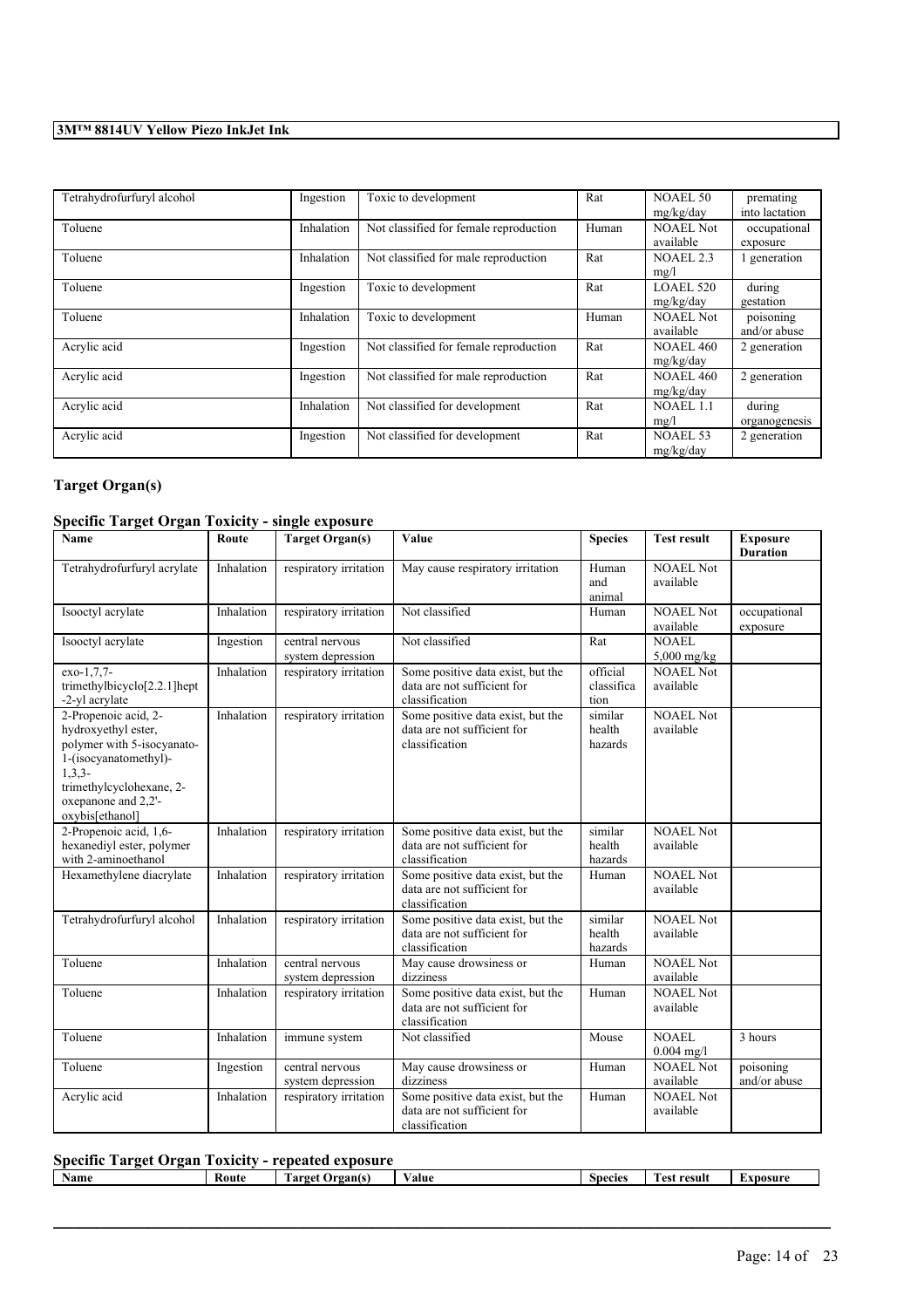| Tetrahydrofurfuryl alcohol | Ingestion  | Toxic to development                   | Rat   | NOAEL 50<br>mg/kg/day         | premating<br>into lactation |
|----------------------------|------------|----------------------------------------|-------|-------------------------------|-----------------------------|
| Toluene                    | Inhalation | Not classified for female reproduction | Human | <b>NOAEL Not</b><br>available | occupational<br>exposure    |
| Toluene                    | Inhalation | Not classified for male reproduction   | Rat   | <b>NOAEL 2.3</b><br>mg/l      | generation                  |
| Toluene                    | Ingestion  | Toxic to development                   | Rat   | LOAEL 520<br>mg/kg/day        | during<br>gestation         |
| Toluene                    | Inhalation | Toxic to development                   | Human | <b>NOAEL Not</b><br>available | poisoning<br>and/or abuse   |
| Acrylic acid               | Ingestion  | Not classified for female reproduction | Rat   | <b>NOAEL 460</b><br>mg/kg/day | 2 generation                |
| Acrylic acid               | Ingestion  | Not classified for male reproduction   | Rat   | <b>NOAEL 460</b><br>mg/kg/day | 2 generation                |
| Acrylic acid               | Inhalation | Not classified for development         | Rat   | NOAEL 1.1<br>mg/l             | during<br>organogenesis     |
| Acrylic acid               | Ingestion  | Not classified for development         | Rat   | NOAEL 53<br>mg/kg/day         | 2 generation                |

# **Target Organ(s)**

## **Specific Target Organ Toxicity - single exposure**

| Name                                                                                                                                                                                 | Route      | <b>Target Organ(s)</b>               | Value                                                                              | <b>Species</b>                 | <b>Test result</b>            | <b>Exposure</b><br><b>Duration</b> |
|--------------------------------------------------------------------------------------------------------------------------------------------------------------------------------------|------------|--------------------------------------|------------------------------------------------------------------------------------|--------------------------------|-------------------------------|------------------------------------|
| Tetrahydrofurfuryl acrylate                                                                                                                                                          | Inhalation | respiratory irritation               | May cause respiratory irritation                                                   | Human<br>and<br>animal         | <b>NOAEL Not</b><br>available |                                    |
| Isooctyl acrylate                                                                                                                                                                    | Inhalation | respiratory irritation               | Not classified                                                                     | Human                          | <b>NOAEL Not</b><br>available | occupational<br>exposure           |
| Isooctyl acrylate                                                                                                                                                                    | Ingestion  | central nervous<br>system depression | Not classified                                                                     | Rat                            | <b>NOAEL</b><br>5,000 mg/kg   |                                    |
| exo-1,7,7-<br>trimethylbicyclo <sup>[2.2.1]</sup> hept<br>-2-yl acrylate                                                                                                             | Inhalation | respiratory irritation               | Some positive data exist, but the<br>data are not sufficient for<br>classification | official<br>classifica<br>tion | <b>NOAEL Not</b><br>available |                                    |
| 2-Propenoic acid, 2-<br>hydroxyethyl ester,<br>polymer with 5-isocyanato-<br>1-(isocyanatomethyl)-<br>$1,3,3-$<br>trimethylcyclohexane, 2-<br>oxepanone and 2,2'-<br>oxybis[ethanol] | Inhalation | respiratory irritation               | Some positive data exist, but the<br>data are not sufficient for<br>classification | similar<br>health<br>hazards   | <b>NOAEL Not</b><br>available |                                    |
| 2-Propenoic acid, 1,6-<br>hexanediyl ester, polymer<br>with 2-aminoethanol                                                                                                           | Inhalation | respiratory irritation               | Some positive data exist, but the<br>data are not sufficient for<br>classification | similar<br>health<br>hazards   | <b>NOAEL Not</b><br>available |                                    |
| Hexamethylene diacrylate                                                                                                                                                             | Inhalation | respiratory irritation               | Some positive data exist, but the<br>data are not sufficient for<br>classification | Human                          | <b>NOAEL Not</b><br>available |                                    |
| Tetrahydrofurfuryl alcohol                                                                                                                                                           | Inhalation | respiratory irritation               | Some positive data exist, but the<br>data are not sufficient for<br>classification | similar<br>health<br>hazards   | <b>NOAEL Not</b><br>available |                                    |
| Toluene                                                                                                                                                                              | Inhalation | central nervous<br>system depression | May cause drowsiness or<br>dizziness                                               | Human                          | <b>NOAEL Not</b><br>available |                                    |
| Toluene                                                                                                                                                                              | Inhalation | respiratory irritation               | Some positive data exist, but the<br>data are not sufficient for<br>classification | Human                          | NOAEL Not<br>available        |                                    |
| Toluene                                                                                                                                                                              | Inhalation | immune system                        | Not classified                                                                     | Mouse                          | <b>NOAEL</b><br>$0.004$ mg/l  | 3 hours                            |
| Toluene                                                                                                                                                                              | Ingestion  | central nervous<br>system depression | May cause drowsiness or<br>dizziness                                               | Human                          | <b>NOAEL Not</b><br>available | poisoning<br>and/or abuse          |
| Acrylic acid                                                                                                                                                                         | Inhalation | respiratory irritation               | Some positive data exist, but the<br>data are not sufficient for<br>classification | Human                          | <b>NOAEL Not</b><br>available |                                    |

## **Specific Target Organ Toxicity - repeated exposure**

| Name<br>Koute<br>rest result<br>l arget<br>Species<br>' Irgants<br>'alue<br>*DOSU |  | -------- |  |  |
|-----------------------------------------------------------------------------------|--|----------|--|--|
|                                                                                   |  |          |  |  |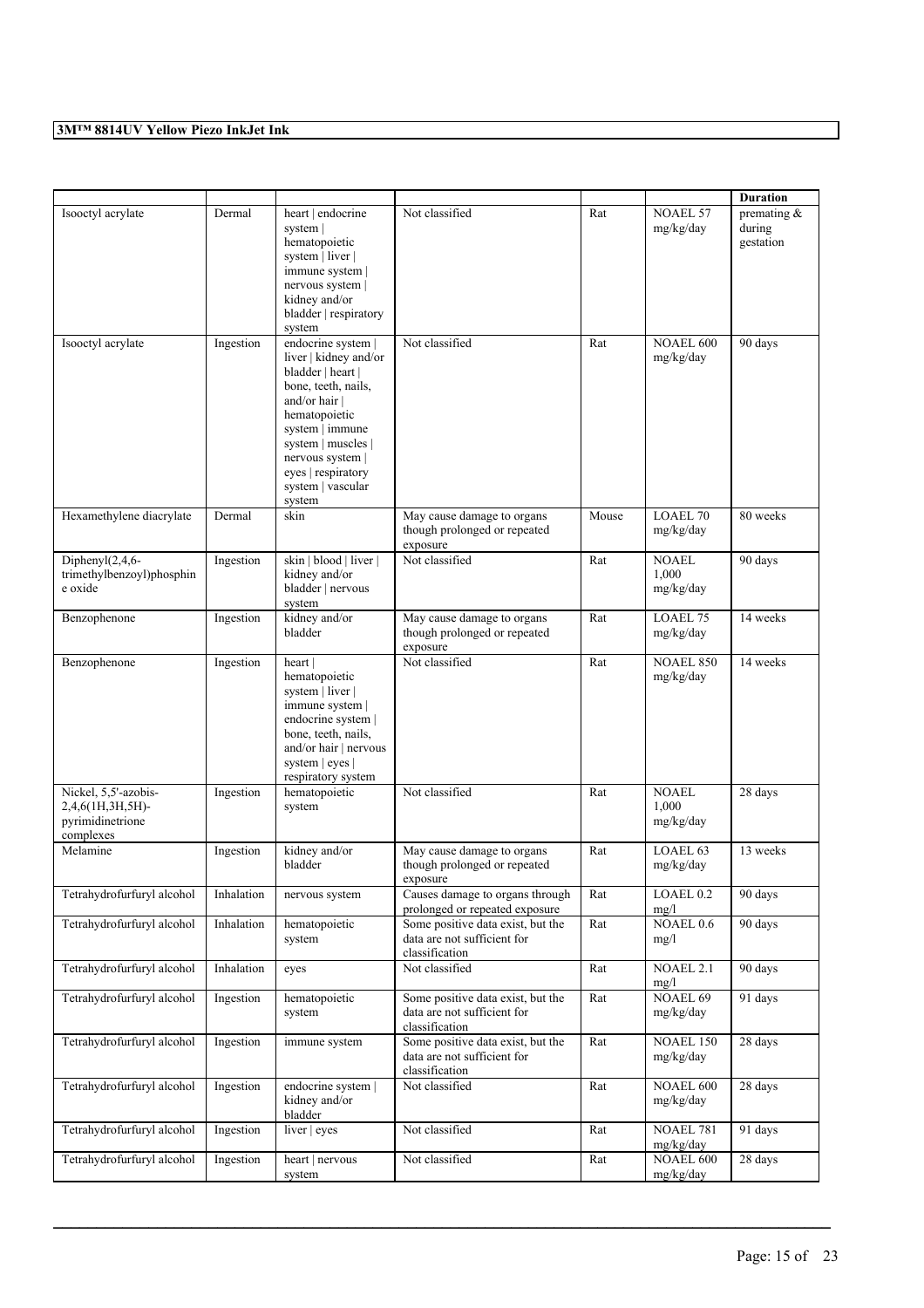|                                                                           |            |                                                                                                                                                                                                                                             |                                                                                    |       |                                    | <b>Duration</b>                       |
|---------------------------------------------------------------------------|------------|---------------------------------------------------------------------------------------------------------------------------------------------------------------------------------------------------------------------------------------------|------------------------------------------------------------------------------------|-------|------------------------------------|---------------------------------------|
| Isooctyl acrylate                                                         | Dermal     | heart   endocrine<br>system  <br>hematopoietic<br>system   liver  <br>immune system  <br>nervous system  <br>kidney and/or<br>bladder   respiratory<br>system                                                                               | Not classified                                                                     | Rat   | <b>NOAEL 57</b><br>mg/kg/day       | premating $\&$<br>during<br>gestation |
| Isooctyl acrylate                                                         | Ingestion  | endocrine system  <br>liver   kidney and/or<br>bladder   heart  <br>bone, teeth, nails,<br>and/or hair  <br>hematopoietic<br>system   immune<br>system   muscles  <br>nervous system  <br>eyes   respiratory<br>system   vascular<br>system | Not classified                                                                     | Rat   | <b>NOAEL 600</b><br>mg/kg/day      | 90 days                               |
| Hexamethylene diacrylate                                                  | Dermal     | skin                                                                                                                                                                                                                                        | May cause damage to organs<br>though prolonged or repeated<br>exposure             | Mouse | <b>LOAEL 70</b><br>mg/kg/day       | 80 weeks                              |
| Diphenyl $(2,4,6$ -<br>trimethylbenzoyl)phosphin<br>e oxide               | Ingestion  | skin   blood   liver  <br>kidney and/or<br>bladder   nervous<br>system                                                                                                                                                                      | Not classified                                                                     | Rat   | NOAEL<br>1,000<br>mg/kg/day        | 90 days                               |
| Benzophenone                                                              | Ingestion  | kidney and/or<br>bladder                                                                                                                                                                                                                    | May cause damage to organs<br>though prolonged or repeated<br>exposure             | Rat   | LOAEL 75<br>mg/kg/day              | 14 weeks                              |
| Benzophenone                                                              | Ingestion  | heart  <br>hematopoietic<br>system   liver  <br>immune system  <br>endocrine system  <br>bone, teeth, nails,<br>and/or hair   nervous<br>system   eyes  <br>respiratory system                                                              | Not classified                                                                     | Rat   | <b>NOAEL 850</b><br>mg/kg/day      | 14 weeks                              |
| Nickel, 5,5'-azobis-<br>2,4,6(1H,3H,5H)-<br>pyrimidinetrione<br>complexes | Ingestion  | hematopoietic<br>system                                                                                                                                                                                                                     | Not classified                                                                     | Rat   | <b>NOAEL</b><br>1,000<br>mg/kg/day | 28 days                               |
| Melamine                                                                  | Ingestion  | kidney and/or<br>bladder                                                                                                                                                                                                                    | May cause damage to organs<br>though prolonged or repeated<br>exposure             | Rat   | LOAEL <sub>63</sub><br>mg/kg/day   | 13 weeks                              |
| Tetrahydrofurfuryl alcohol                                                | Inhalation | nervous system                                                                                                                                                                                                                              | Causes damage to organs through<br>prolonged or repeated exposure                  | Rat   | LOAEL 0.2<br>mg/l                  | 90 days                               |
| Tetrahydrofurfuryl alcohol                                                | Inhalation | hematopoietic<br>system                                                                                                                                                                                                                     | Some positive data exist, but the<br>data are not sufficient for<br>classification | Rat   | NOAEL 0.6<br>mg/l                  | 90 days                               |
| Tetrahydrofurfuryl alcohol                                                | Inhalation | eyes                                                                                                                                                                                                                                        | Not classified                                                                     | Rat   | NOAEL 2.1<br>mg/l                  | 90 days                               |
| Tetrahydrofurfuryl alcohol                                                | Ingestion  | hematopoietic<br>system                                                                                                                                                                                                                     | Some positive data exist, but the<br>data are not sufficient for<br>classification | Rat   | <b>NOAEL 69</b><br>mg/kg/day       | 91 days                               |
| Tetrahydrofurfuryl alcohol                                                | Ingestion  | immune system                                                                                                                                                                                                                               | Some positive data exist, but the<br>data are not sufficient for<br>classification | Rat   | <b>NOAEL 150</b><br>mg/kg/day      | 28 days                               |
| Tetrahydrofurfuryl alcohol                                                | Ingestion  | endocrine system  <br>kidney and/or<br>bladder                                                                                                                                                                                              | Not classified                                                                     | Rat   | NOAEL 600<br>mg/kg/day             | 28 days                               |
| Tetrahydrofurfuryl alcohol                                                | Ingestion  | liver $ $ eyes                                                                                                                                                                                                                              | Not classified                                                                     | Rat   | <b>NOAEL 781</b><br>mg/kg/day      | 91 days                               |
| Tetrahydrofurfuryl alcohol                                                | Ingestion  | heart   nervous<br>system                                                                                                                                                                                                                   | Not classified                                                                     | Rat   | <b>NOAEL 600</b><br>mg/kg/day      | 28 days                               |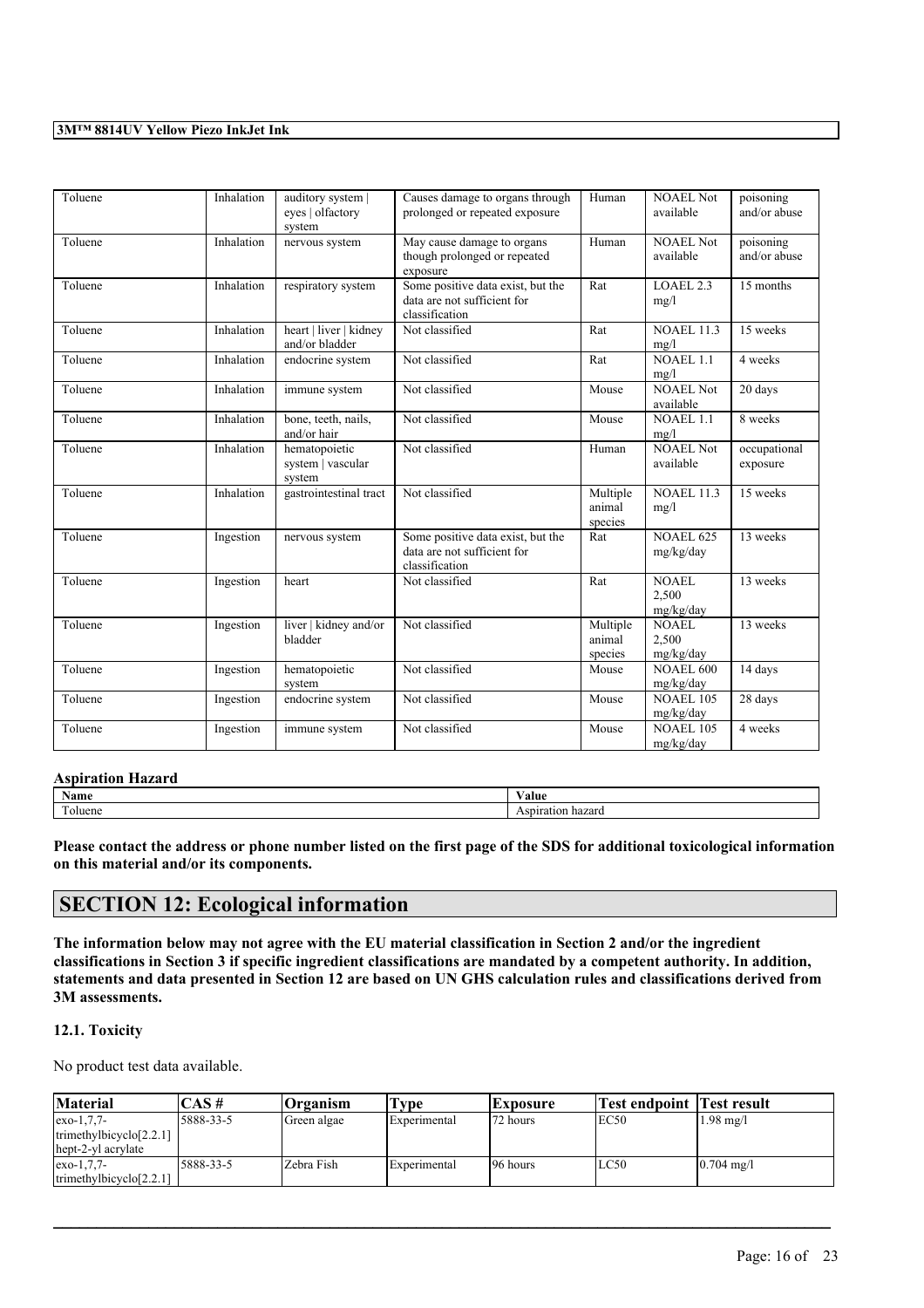| Toluene | Inhalation | auditory system  <br>eyes   olfactory<br>system | Causes damage to organs through<br>prolonged or repeated exposure                  | Human                         | <b>NOAEL Not</b><br>available      | poisoning<br>and/or abuse |
|---------|------------|-------------------------------------------------|------------------------------------------------------------------------------------|-------------------------------|------------------------------------|---------------------------|
| Toluene | Inhalation | nervous system                                  | May cause damage to organs<br>though prolonged or repeated<br>exposure             | Human                         | NOAEL Not<br>available             | poisoning<br>and/or abuse |
| Toluene | Inhalation | respiratory system                              | Some positive data exist, but the<br>data are not sufficient for<br>classification | Rat                           | LOAEL <sub>2.3</sub><br>mg/l       | 15 months                 |
| Toluene | Inhalation | heart   liver   kidney<br>and/or bladder        | Not classified                                                                     | Rat                           | <b>NOAEL 11.3</b><br>mg/l          | 15 weeks                  |
| Toluene | Inhalation | endocrine system                                | Not classified                                                                     | Rat                           | <b>NOAEL 1.1</b><br>mg/l           | 4 weeks                   |
| Toluene | Inhalation | immune system                                   | Not classified                                                                     | Mouse                         | <b>NOAEL Not</b><br>available      | 20 days                   |
| Toluene | Inhalation | bone, teeth, nails,<br>and/or hair              | Not classified                                                                     | Mouse                         | <b>NOAEL 1.1</b><br>mg/l           | 8 weeks                   |
| Toluene | Inhalation | hematopoietic<br>system   vascular<br>system    | Not classified                                                                     | Human                         | <b>NOAEL Not</b><br>available      | occupational<br>exposure  |
| Toluene | Inhalation | gastrointestinal tract                          | Not classified                                                                     | Multiple<br>animal<br>species | <b>NOAEL 11.3</b><br>mg/l          | 15 weeks                  |
| Toluene | Ingestion  | nervous system                                  | Some positive data exist, but the<br>data are not sufficient for<br>classification | Rat                           | <b>NOAEL 625</b><br>mg/kg/day      | 13 weeks                  |
| Toluene | Ingestion  | heart                                           | Not classified                                                                     | Rat                           | <b>NOAEL</b><br>2,500<br>mg/kg/day | 13 weeks                  |
| Toluene | Ingestion  | liver   kidney and/or<br>bladder                | Not classified                                                                     | Multiple<br>animal<br>species | <b>NOAEL</b><br>2,500<br>mg/kg/day | 13 weeks                  |
| Toluene | Ingestion  | hematopoietic<br>system                         | Not classified                                                                     | Mouse                         | <b>NOAEL 600</b><br>mg/kg/day      | 14 days                   |
| Toluene | Ingestion  | endocrine system                                | Not classified                                                                     | Mouse                         | <b>NOAEL 105</b><br>mg/kg/day      | 28 days                   |
| Toluene | Ingestion  | immune system                                   | Not classified                                                                     | Mouse                         | <b>NOAEL 105</b><br>mg/kg/day      | 4 weeks                   |

#### **Aspiration Hazard**

| <b>BY</b>        | √alue     |
|------------------|-----------|
| Name             | .         |
| <b>CONTINUES</b> | $-1$      |
| oluene           | --------- |

Please contact the address or phone number listed on the first page of the SDS for additional toxicological information **on this material and/or its components.**

# **SECTION 12: Ecological information**

The information below may not agree with the EU material classification in Section 2 and/or the ingredient classifications in Section 3 if specific ingredient classifications are mandated by a competent authority. In addition, statements and data presented in Section 12 are based on UN GHS calculation rules and classifications derived from **3M assessments.**

## **12.1. Toxicity**

No product test data available.

| Material                                                         | $\mathsf{CAS}\,\#$ | $O$ rganism | l'vpe        | Exposure  | <b>Test endpoint Test result</b> |                     |
|------------------------------------------------------------------|--------------------|-------------|--------------|-----------|----------------------------------|---------------------|
| $exo-1,7,7-$<br>trimethylbicyclo $[2,2,1]$<br>hept-2-yl acrylate | 5888-33-5          | Green algae | Experimental | 172 hours | IEC50                            | $1.98 \text{ mg}/1$ |
| $exo-1,7,7-$<br>trimethylbicyclo $[2,2,1]$                       | 5888-33-5          | Zebra Fish  | Experimental | 196 hours | LC50                             | $0.704$ mg/l        |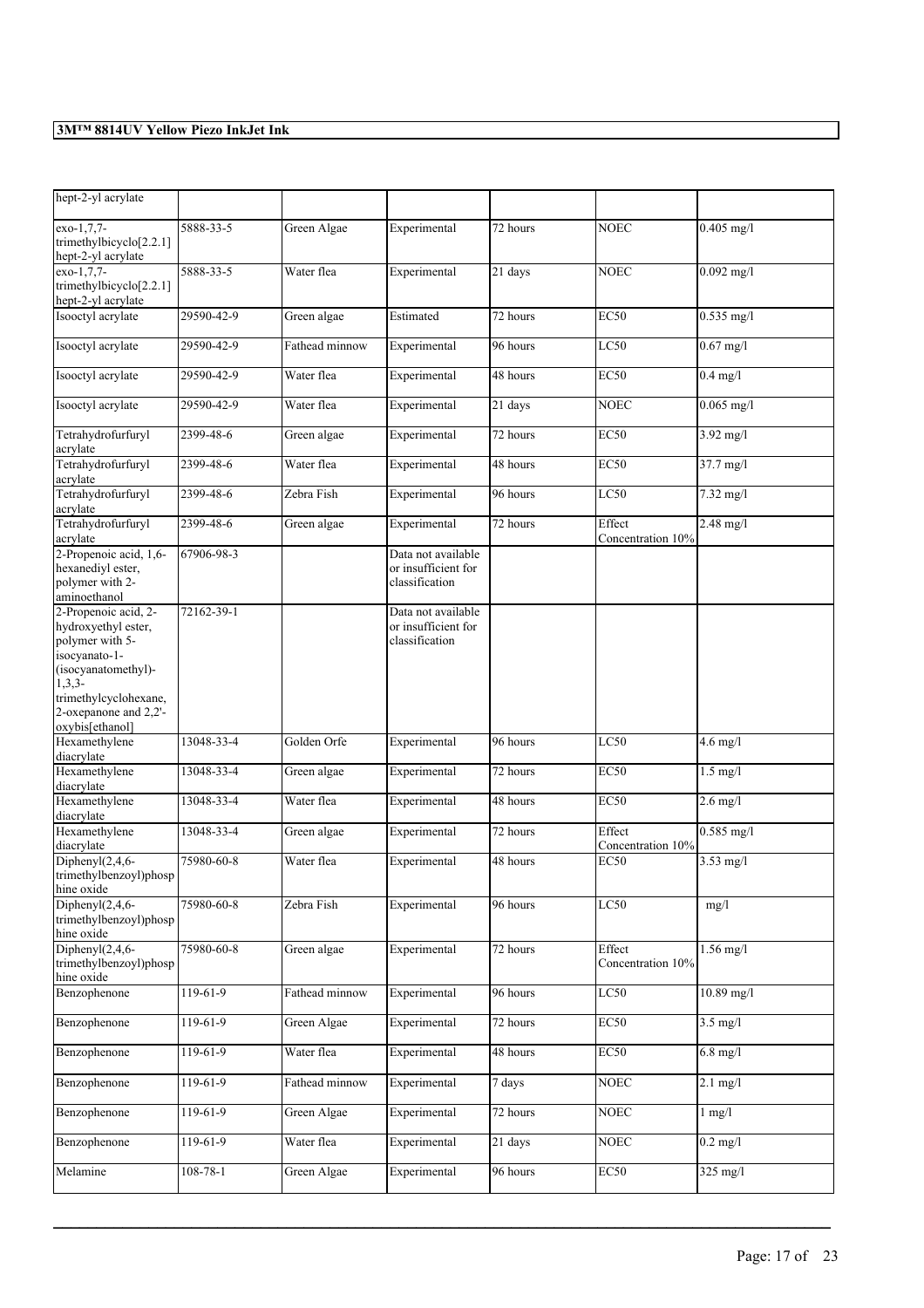| hept-2-yl acrylate                                                                                                                                                   |                |                |                                                             |                       |                             |                     |
|----------------------------------------------------------------------------------------------------------------------------------------------------------------------|----------------|----------------|-------------------------------------------------------------|-----------------------|-----------------------------|---------------------|
| exo-1,7,7-<br>trimethylbicyclo[2.2.1]<br>hept-2-yl acrylate                                                                                                          | 5888-33-5      | Green Algae    | Experimental                                                | 72 hours              | NOEC                        | $0.405$ mg/l        |
| exo-1,7,7-<br>trimethylbicyclo[2.2.1]<br>hept-2-yl acrylate                                                                                                          | 5888-33-5      | Water flea     | Experimental                                                | 21 days               | <b>NOEC</b>                 | $0.092$ mg/l        |
| Isooctyl acrylate                                                                                                                                                    | 29590-42-9     | Green algae    | Estimated                                                   | 72 hours              | <b>EC50</b>                 | $0.535$ mg/l        |
| Isooctyl acrylate                                                                                                                                                    | 29590-42-9     | Fathead minnow | Experimental                                                | 96 hours              | LC50                        | $0.67$ mg/l         |
| Isooctyl acrylate                                                                                                                                                    | 29590-42-9     | Water flea     | Experimental                                                | $\overline{48}$ hours | <b>EC50</b>                 | $0.4$ mg/l          |
| Isooctyl acrylate                                                                                                                                                    | 29590-42-9     | Water flea     | Experimental                                                | 21 days               | <b>NOEC</b>                 | $0.065$ mg/l        |
| Tetrahydrofurfuryl<br>acrylate                                                                                                                                       | 2399-48-6      | Green algae    | Experimental                                                | 72 hours              | <b>EC50</b>                 | $3.92$ mg/l         |
| Tetrahydrofurfuryl<br>acrylate                                                                                                                                       | 2399-48-6      | Water flea     | Experimental                                                | 48 hours              | EC50                        | 37.7 mg/l           |
| Tetrahydrofurfuryl<br>acrylate                                                                                                                                       | 2399-48-6      | Zebra Fish     | Experimental                                                | 96 hours              | LC50                        | $7.32 \text{ mg/l}$ |
| Tetrahydrofurfuryl<br>acrylate                                                                                                                                       | 2399-48-6      | Green algae    | Experimental                                                | 72 hours              | Effect<br>Concentration 10% | 2.48 mg/l           |
| 2-Propenoic acid, 1,6-<br>hexanediyl ester,<br>polymer with 2-<br>aminoethanol                                                                                       | 67906-98-3     |                | Data not available<br>or insufficient for<br>classification |                       |                             |                     |
| 2-Propenoic acid, 2-<br>hydroxyethyl ester,<br>polymer with 5-<br>isocyanato-1-<br>(isocyanatomethyl)-<br>$1,3,3-$<br>trimethylcyclohexane,<br>2-oxepanone and 2,2'- | 72162-39-1     |                | Data not available<br>or insufficient for<br>classification |                       |                             |                     |
| oxybis[ethanol]<br>Hexamethylene<br>diacrylate                                                                                                                       | 13048-33-4     | Golden Orfe    | Experimental                                                | 96 hours              | LC50                        | $4.6$ mg/l          |
| Hexamethylene<br>diacrylate                                                                                                                                          | 13048-33-4     | Green algae    | Experimental                                                | 72 hours              | <b>EC50</b>                 | $1.5$ mg/l          |
| Hexamethylene<br>diacrylate                                                                                                                                          | 13048-33-4     | Water flea     | Experimental                                                | 48 hours              | <b>EC50</b>                 | $2.6$ mg/l          |
| Hexamethylene<br>diacrylate                                                                                                                                          | 13048-33-4     | Green algae    | Experimental                                                | 72 hours              | Effect<br>Concentration 10% | $0.585$ mg/l        |
| Diphenyl $(2,4,6$ -<br>trimethylbenzoyl)phosp<br>hine oxide                                                                                                          | 75980-60-8     | Water flea     | Experimental                                                | 48 hours              | EC50                        | $3.53$ mg/l         |
| Diphenyl $(2,4,6-$<br>trimethylbenzoyl)phosp<br>hine oxide                                                                                                           | 75980-60-8     | Zebra Fish     | Experimental                                                | 96 hours              | LC50                        | mg/l                |
| Diphenyl $(2, 4, 6$ -<br>trimethylbenzoyl)phosp<br>hine oxide                                                                                                        | 75980-60-8     | Green algae    | Experimental                                                | 72 hours              | Effect<br>Concentration 10% | $1.56$ mg/l         |
| Benzophenone                                                                                                                                                         | $119-61-9$     | Fathead minnow | Experimental                                                | 96 hours              | LC50                        | $10.89$ mg/l        |
| Benzophenone                                                                                                                                                         | 119-61-9       | Green Algae    | Experimental                                                | 72 hours              | <b>EC50</b>                 | $3.5$ mg/l          |
| Benzophenone                                                                                                                                                         | 119-61-9       | Water flea     | Experimental                                                | 48 hours              | EC <sub>50</sub>            | $6.8$ mg/l          |
| Benzophenone                                                                                                                                                         | 119-61-9       | Fathead minnow | Experimental                                                | 7 days                | <b>NOEC</b>                 | $2.1$ mg/l          |
| Benzophenone                                                                                                                                                         | $119-61-9$     | Green Algae    | Experimental                                                | 72 hours              | <b>NOEC</b>                 | $1$ mg/ $1$         |
| Benzophenone                                                                                                                                                         | 119-61-9       | Water flea     | Experimental                                                | 21 days               | <b>NOEC</b>                 | $0.2$ mg/l          |
| Melamine                                                                                                                                                             | $108 - 78 - 1$ | Green Algae    | Experimental                                                | 96 hours              | EC <sub>50</sub>            | $325$ mg/l          |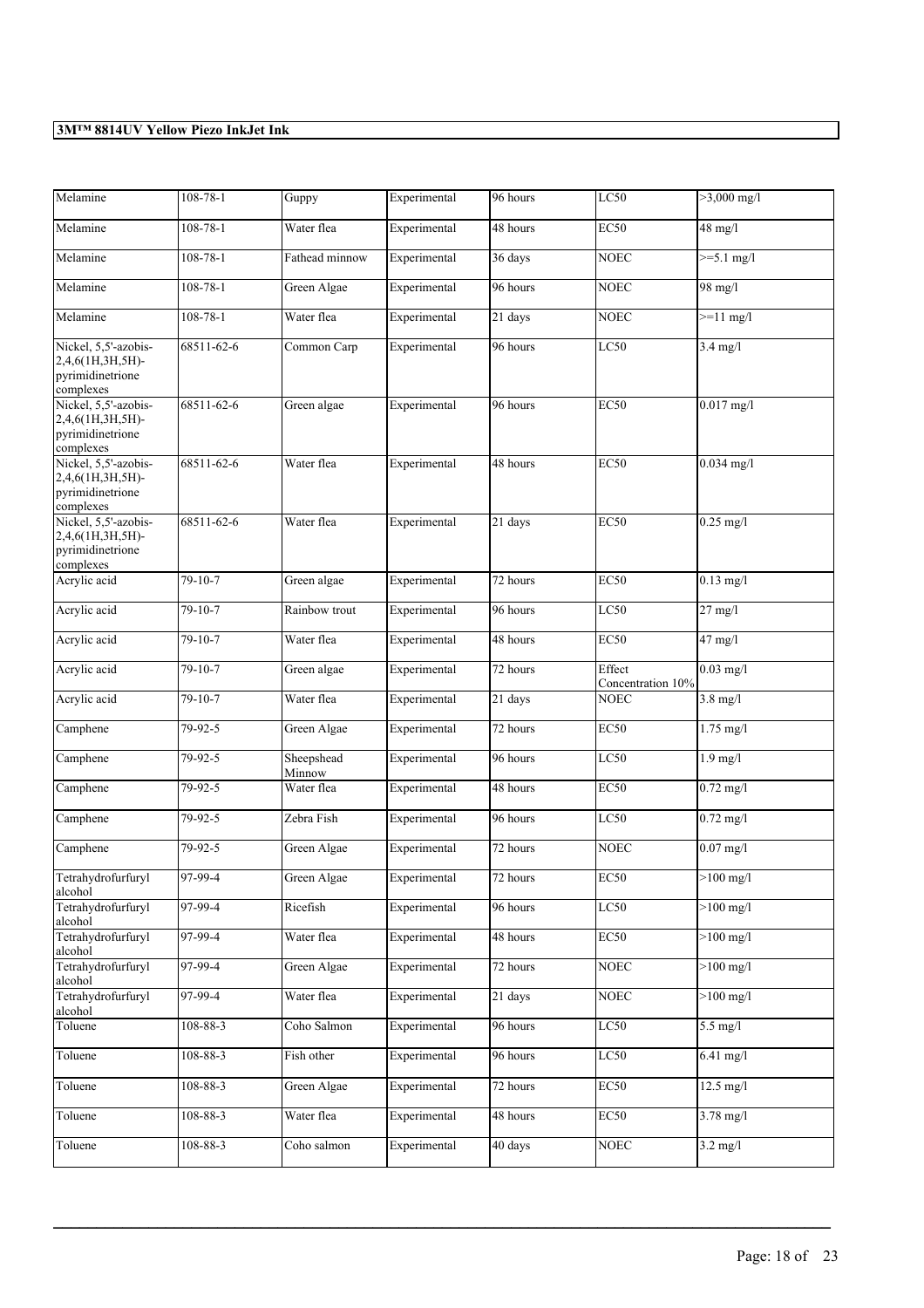| Melamine                                                                  | 108-78-1       | Guppy                | Experimental | 96 hours | LC50                        | $>3,000$ mg/l       |
|---------------------------------------------------------------------------|----------------|----------------------|--------------|----------|-----------------------------|---------------------|
| Melamine                                                                  | $108 - 78 - 1$ | Water flea           | Experimental | 48 hours | EC50                        | 48 mg/l             |
| Melamine                                                                  | $108 - 78 - 1$ | Fathead minnow       | Experimental | 36 days  | <b>NOEC</b>                 | $>=5.1$ mg/l        |
| Melamine                                                                  | $108 - 78 - 1$ | Green Algae          | Experimental | 96 hours | <b>NOEC</b>                 | 98 mg/l             |
| Melamine                                                                  | $108 - 78 - 1$ | Water flea           | Experimental | 21 days  | <b>NOEC</b>                 | $>=11$ mg/l         |
| Nickel, 5,5'-azobis-<br>2,4,6(1H,3H,5H)-<br>pyrimidinetrione<br>complexes | 68511-62-6     | Common Carp          | Experimental | 96 hours | LC50                        | $3.4$ mg/l          |
| Nickel, 5,5'-azobis-<br>2,4,6(1H,3H,5H)-<br>pyrimidinetrione<br>complexes | 68511-62-6     | Green algae          | Experimental | 96 hours | <b>EC50</b>                 | $0.017$ mg/l        |
| Nickel, 5,5'-azobis-<br>2,4,6(1H,3H,5H)-<br>pyrimidinetrione<br>complexes | 68511-62-6     | Water flea           | Experimental | 48 hours | <b>EC50</b>                 | $0.034$ mg/l        |
| Nickel, 5,5'-azobis-<br>2,4,6(1H,3H,5H)-<br>pyrimidinetrione<br>complexes | 68511-62-6     | Water flea           | Experimental | 21 days  | <b>EC50</b>                 | $0.25$ mg/l         |
| Acrylic acid                                                              | 79-10-7        | Green algae          | Experimental | 72 hours | EC50                        | $0.13$ mg/l         |
| Acrylic acid                                                              | $79-10-7$      | Rainbow trout        | Experimental | 96 hours | LC50                        | $27$ mg/l           |
| Acrylic acid                                                              | $79-10-7$      | Water flea           | Experimental | 48 hours | <b>EC50</b>                 | $47$ mg/l           |
| Acrylic acid                                                              | 79-10-7        | Green algae          | Experimental | 72 hours | Effect<br>Concentration 10% | $0.03$ mg/l         |
| Acrylic acid                                                              | 79-10-7        | Water flea           | Experimental | 21 days  | <b>NOEC</b>                 | $3.8$ mg/l          |
| Camphene                                                                  | 79-92-5        | Green Algae          | Experimental | 72 hours | <b>EC50</b>                 | $1.75$ mg/l         |
| Camphene                                                                  | 79-92-5        | Sheepshead<br>Minnow | Experimental | 96 hours | LC50                        | $1.9$ mg/l          |
| Camphene                                                                  | 79-92-5        | Water flea           | Experimental | 48 hours | <b>EC50</b>                 | $0.72$ mg/l         |
| Camphene                                                                  | 79-92-5        | Zebra Fish           | Experimental | 96 hours | LC50                        | $0.72$ mg/l         |
| Camphene                                                                  | 79-92-5        | Green Algae          | Experimental | 72 hours | <b>NOEC</b>                 | $0.07$ mg/l         |
| Tetrahydrofurfuryl<br>alcohol                                             | 97-99-4        | Green Algae          | Experimental | 72 hours | <b>EC50</b>                 | $>100$ mg/l         |
| Tetrahydrofurfuryl<br>alcohol                                             | 97-99-4        | Ricefish             | Experimental | 96 hours | LC50                        | $>100$ mg/l         |
| Tetrahydrofurfuryl<br>alcohol                                             | 97-99-4        | Water flea           | Experimental | 48 hours | EC50                        | $>100$ mg/l         |
| Tetrahydrofurfuryl<br>alcohol                                             | $97-99-4$      | Green Algae          | Experimental | 72 hours | <b>NOEC</b>                 | $>100$ mg/l         |
| Tetrahydrofurfuryl<br>alcohol                                             | 97-99-4        | Water flea           | Experimental | 21 days  | <b>NOEC</b>                 | $>100$ mg/l         |
| Toluene                                                                   | $108 - 88 - 3$ | Coho Salmon          | Experimental | 96 hours | LC50                        | $5.5$ mg/l          |
| Toluene                                                                   | 108-88-3       | Fish other           | Experimental | 96 hours | LC50                        | $6.41$ mg/l         |
| Toluene                                                                   | 108-88-3       | Green Algae          | Experimental | 72 hours | <b>EC50</b>                 | $12.5 \text{ mg/l}$ |
| Toluene                                                                   | 108-88-3       | Water flea           | Experimental | 48 hours | EC50                        | $3.78 \text{ mg}/1$ |
| Toluene                                                                   | 108-88-3       | Coho salmon          | Experimental | 40 days  | <b>NOEC</b>                 | $3.2 \text{ mg/l}$  |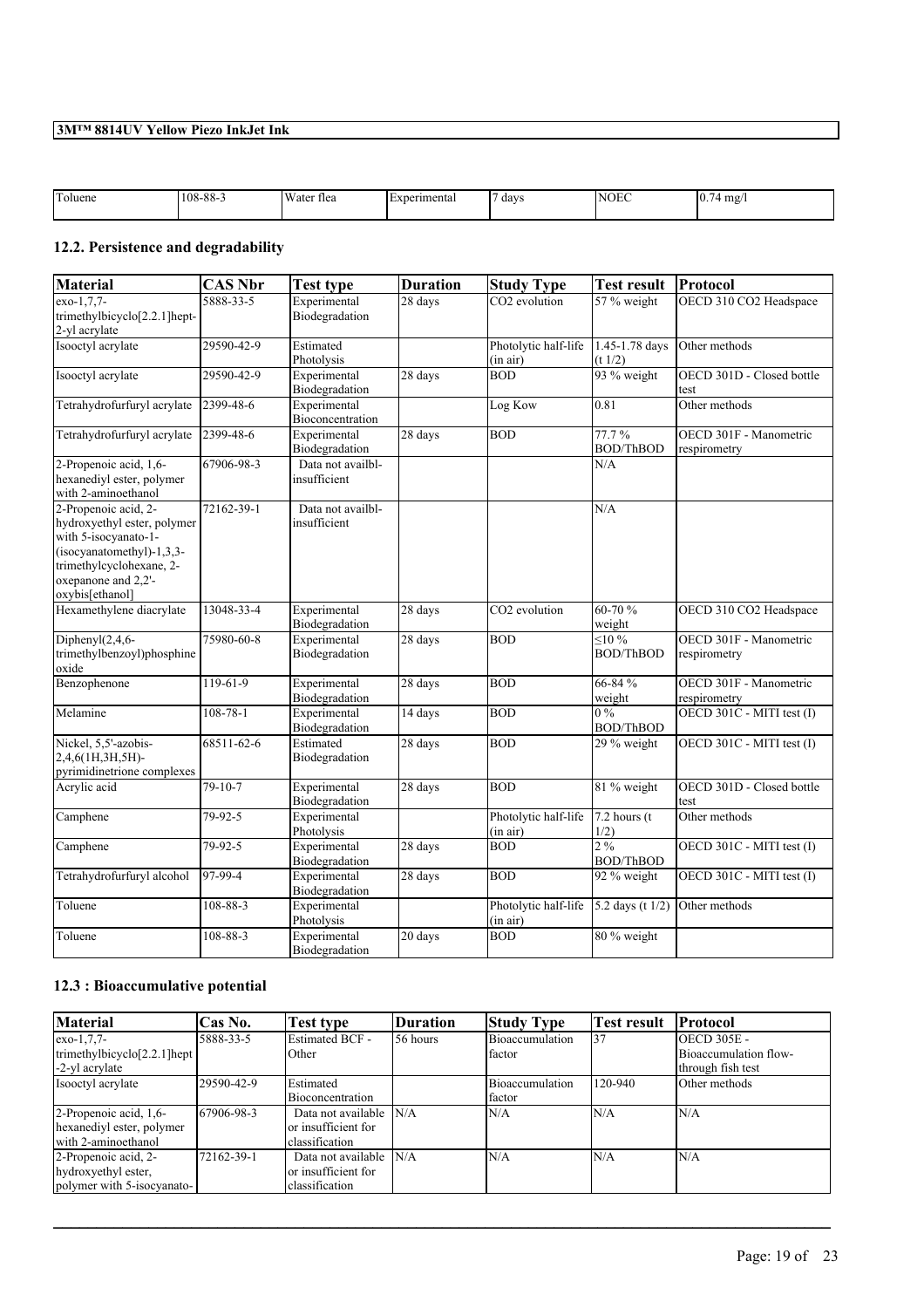| <b>CONTINUES</b><br>Toluene | 108-88- | Water<br>tlea | erimenta. | days | <sup>I</sup> Nt<br>__ | 10.<br>mg/<br>- |
|-----------------------------|---------|---------------|-----------|------|-----------------------|-----------------|
|-----------------------------|---------|---------------|-----------|------|-----------------------|-----------------|

# **12.2. Persistence and degradability**

| <b>Material</b>                                                                                                                                                                  | <b>CAS Nbr</b> | <b>Test type</b>                  | <b>Duration</b>   | <b>Study Type</b>                | <b>Test result</b>                 | Protocol                               |
|----------------------------------------------------------------------------------------------------------------------------------------------------------------------------------|----------------|-----------------------------------|-------------------|----------------------------------|------------------------------------|----------------------------------------|
| $exo-1,7,7-$<br>trimethylbicyclo[2.2.1]hept-<br>2-yl acrylate                                                                                                                    | 5888-33-5      | Experimental<br>Biodegradation    | 28 days           | CO <sub>2</sub> evolution        | 57 % weight                        | OECD 310 CO2 Headspace                 |
| Isooctyl acrylate                                                                                                                                                                | 29590-42-9     | Estimated<br>Photolysis           |                   | Photolytic half-life<br>(in air) | 1.45-1.78 days<br>(t 1/2)          | Other methods                          |
| Isooctyl acrylate                                                                                                                                                                | 29590-42-9     | Experimental<br>Biodegradation    | 28 days           | <b>BOD</b>                       | 93 % weight                        | OECD 301D - Closed bottle<br>test      |
| Tetrahydrofurfuryl acrylate                                                                                                                                                      | 2399-48-6      | Experimental<br>Bioconcentration  |                   | Log Kow                          | 0.81                               | Other methods                          |
| Tetrahydrofurfuryl acrylate                                                                                                                                                      | 2399-48-6      | Experimental<br>Biodegradation    | 28 days           | <b>BOD</b>                       | 77.7%<br><b>BOD/ThBOD</b>          | OECD 301F - Manometric<br>respirometry |
| 2-Propenoic acid, 1,6-<br>hexanediyl ester, polymer<br>with 2-aminoethanol                                                                                                       | 67906-98-3     | Data not availbl-<br>insufficient |                   |                                  | N/A                                |                                        |
| 2-Propenoic acid, 2-<br>hydroxyethyl ester, polymer<br>with 5-isocyanato-1-<br>$(isocyanatomethyl)-1,3,3-$<br>trimethylcyclohexane, 2-<br>oxepanone and 2,2'-<br>oxybis[ethanol] | 72162-39-1     | Data not availbl-<br>insufficient |                   |                                  | N/A                                |                                        |
| Hexamethylene diacrylate                                                                                                                                                         | 13048-33-4     | Experimental<br>Biodegradation    | 28 days           | CO2 evolution                    | 60-70 %<br>weight                  | OECD 310 CO2 Headspace                 |
| Diphenyl $(2, 4, 6$ -<br>trimethylbenzoyl)phosphine<br>oxide                                                                                                                     | 75980-60-8     | Experimental<br>Biodegradation    | 28 days           | <b>BOD</b>                       | $\leq 10 \%$<br><b>BOD/ThBOD</b>   | OECD 301F - Manometric<br>respirometry |
| Benzophenone                                                                                                                                                                     | 119-61-9       | Experimental<br>Biodegradation    | 28 days           | <b>BOD</b>                       | 66-84 %<br>weight                  | OECD 301F - Manometric<br>respirometry |
| Melamine                                                                                                                                                                         | $108 - 78 - 1$ | Experimental<br>Biodegradation    | 14 days           | <b>BOD</b>                       | $0\%$<br><b>BOD/ThBOD</b>          | OECD 301C - MITI test (I)              |
| Nickel, 5,5'-azobis-<br>2,4,6(1H,3H,5H)-<br>pyrimidinetrione complexes                                                                                                           | 68511-62-6     | Estimated<br>Biodegradation       | $28 \text{ days}$ | <b>BOD</b>                       | 29 % weight                        | OECD 301C - MITI test (I)              |
| Acrylic acid                                                                                                                                                                     | $79 - 10 - 7$  | Experimental<br>Biodegradation    | 28 days           | <b>BOD</b>                       | 81 % weight                        | OECD 301D - Closed bottle<br>test      |
| Camphene                                                                                                                                                                         | 79-92-5        | Experimental<br>Photolysis        |                   | Photolytic half-life<br>(in air) | $7.2$ hours (t)<br>1/2)            | Other methods                          |
| Camphene                                                                                                                                                                         | 79-92-5        | Experimental<br>Biodegradation    | 28 days           | <b>BOD</b>                       | $2\frac{9}{6}$<br><b>BOD/ThBOD</b> | OECD 301C - MITI test (I)              |
| Tetrahydrofurfuryl alcohol                                                                                                                                                       | 97-99-4        | Experimental<br>Biodegradation    | 28 days           | <b>BOD</b>                       | 92 % weight                        | OECD 301C - MITI test (I)              |
| Toluene                                                                                                                                                                          | 108-88-3       | Experimental<br>Photolysis        |                   | Photolytic half-life<br>(in air) | 5.2 days (t $1/2$ )                | Other methods                          |
| Toluene                                                                                                                                                                          | 108-88-3       | Experimental<br>Biodegradation    | $20$ days         | BOD                              | 80 % weight                        |                                        |

## **12.3 : Bioaccumulative potential**

| Material                                         | Cas No.    | <b>Test type</b>       | Duration | <b>Study Type</b> | <b>Test result</b> | <b>Protocol</b>       |
|--------------------------------------------------|------------|------------------------|----------|-------------------|--------------------|-----------------------|
| $exo-1,7,7-$                                     | 5888-33-5  | <b>Estimated BCF -</b> | 56 hours | Bioaccumulation   | 137                | <b>OECD 305E -</b>    |
| trimethylbicyclo <sup>[2.2.1]</sup> hept $\vert$ |            | Other                  |          | <b>factor</b>     |                    | Bioaccumulation flow- |
| -2-yl acrylate                                   |            |                        |          |                   |                    | through fish test     |
| Isooctyl acrylate                                | 29590-42-9 | Estimated              |          | Bioaccumulation   | 120-940            | Other methods         |
|                                                  |            | Bioconcentration       |          | <b>factor</b>     |                    |                       |
| 2-Propenoic acid, 1,6-                           | 67906-98-3 | Data not available     | N/A      | N/A               | IN/A               | N/A                   |
| hexanediyl ester, polymer                        |            | or insufficient for    |          |                   |                    |                       |
| with 2-aminoethanol                              |            | classification         |          |                   |                    |                       |
| 2-Propenoic acid, 2-                             | 72162-39-1 | Data not available     | N/A      | N/A               | IN/A               | N/A                   |
| hydroxyethyl ester,                              |            | or insufficient for    |          |                   |                    |                       |
| polymer with 5-isocyanato-                       |            | classification         |          |                   |                    |                       |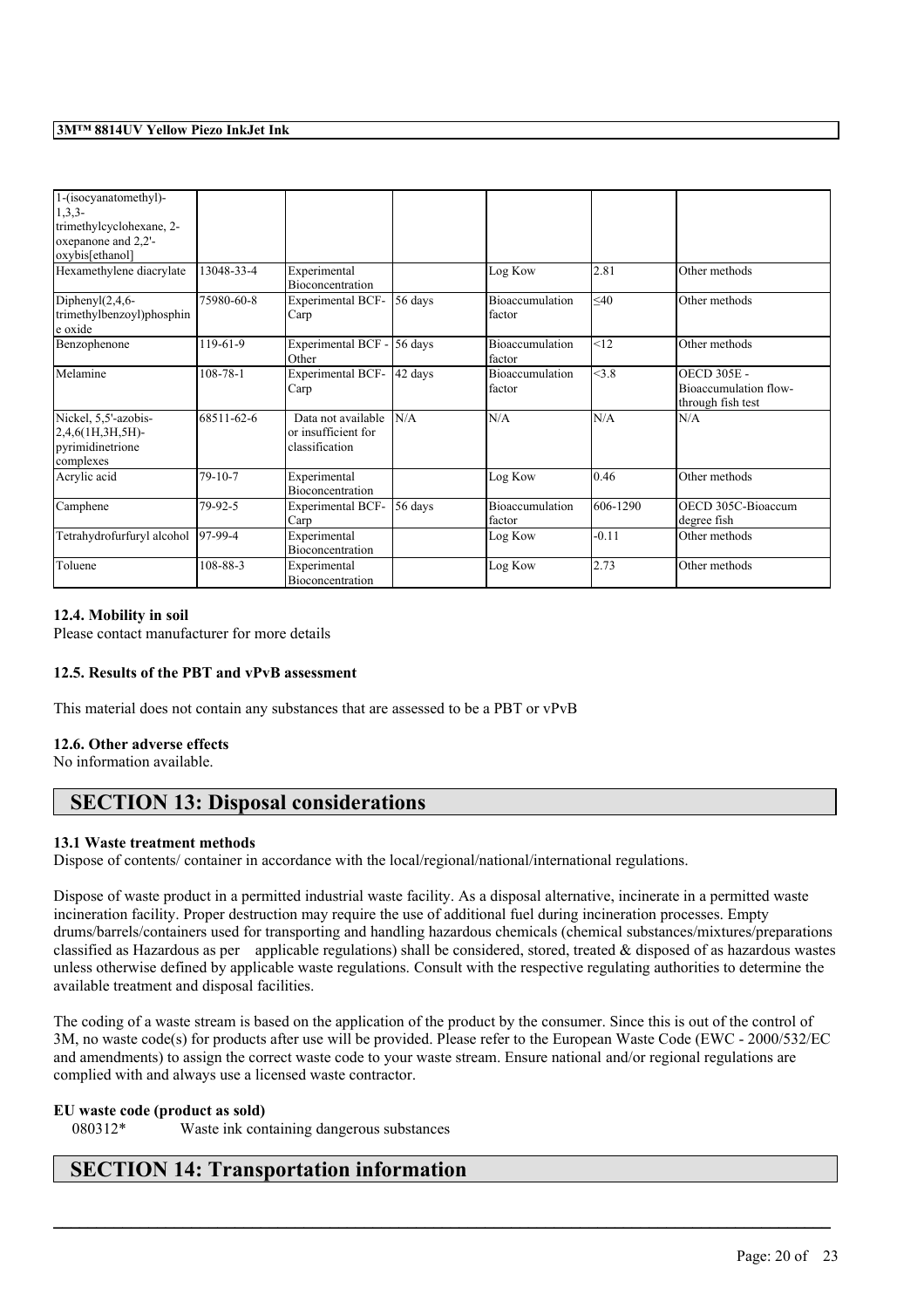| 1-(isocyanatomethyl)-<br>$1,3,3-$<br>trimethylcyclohexane, 2-<br>oxepanone and 2,2'-<br>oxybis[ethanol]<br>Hexamethylene diacrylate | 13048-33-4     | Experimental<br>Bioconcentration                            |         | Log Kow                          | 2.81      | Other methods                                                    |
|-------------------------------------------------------------------------------------------------------------------------------------|----------------|-------------------------------------------------------------|---------|----------------------------------|-----------|------------------------------------------------------------------|
| Diphenyl $(2,4,6$ -<br>trimethylbenzoyl)phosphin<br>e oxide                                                                         | 75980-60-8     | <b>Experimental BCF-</b><br>Carp                            | 56 days | Bioaccumulation<br>factor        | $\leq 40$ | Other methods                                                    |
| Benzophenone                                                                                                                        | 119-61-9       | Experimental BCF -<br>Other                                 | 56 days | Bioaccumulation<br>factor        | <12       | Other methods                                                    |
| Melamine                                                                                                                            | $108 - 78 - 1$ | Experimental BCF-<br>Carp                                   | 42 days | Bioaccumulation<br>factor        | <3.8      | <b>OECD 305E -</b><br>Bioaccumulation flow-<br>through fish test |
| Nickel, 5,5'-azobis-<br>$2,4,6$ (1H,3H,5H)-<br>pyrimidinetrione<br>complexes                                                        | 68511-62-6     | Data not available<br>or insufficient for<br>classification | N/A     | N/A                              | N/A       | N/A                                                              |
| Acrylic acid                                                                                                                        | $79-10-7$      | Experimental<br><b>Bioconcentration</b>                     |         | Log Kow                          | 0.46      | Other methods                                                    |
| Camphene                                                                                                                            | 79-92-5        | <b>Experimental BCF-</b><br>Carp                            | 56 days | <b>Bioaccumulation</b><br>factor | 606-1290  | OECD 305C-Bioaccum<br>degree fish                                |
| Tetrahydrofurfuryl alcohol                                                                                                          | $97-99-4$      | Experimental<br>Bioconcentration                            |         | Log Kow                          | $-0.11$   | Other methods                                                    |
| Toluene                                                                                                                             | 108-88-3       | Experimental<br><b>Bioconcentration</b>                     |         | Log Kow                          | 2.73      | Other methods                                                    |

## **12.4. Mobility in soil**

Please contact manufacturer for more details

## **12.5. Results of the PBT and vPvB assessment**

This material does not contain any substances that are assessed to be a PBT or vPvB

## **12.6. Other adverse effects**

No information available.

# **SECTION 13: Disposal considerations**

#### **13.1 Waste treatment methods**

Dispose of contents/ container in accordance with the local/regional/national/international regulations.

Dispose of waste product in a permitted industrial waste facility. As a disposal alternative, incinerate in a permitted waste incineration facility. Proper destruction may require the use of additional fuel during incineration processes. Empty drums/barrels/containers used for transporting and handling hazardous chemicals (chemical substances/mixtures/preparations classified as Hazardous as per applicable regulations) shall be considered, stored, treated & disposed of as hazardous wastes unless otherwise defined by applicable waste regulations. Consult with the respective regulating authorities to determine the available treatment and disposal facilities.

The coding of a waste stream is based on the application of the product by the consumer. Since this is out of the control of 3M, no waste code(s) for products after use will be provided. Please refer to the European Waste Code (EWC - 2000/532/EC and amendments) to assign the correct waste code to your waste stream. Ensure national and/or regional regulations are complied with and always use a licensed waste contractor.

 $\mathcal{L}_\mathcal{L} = \mathcal{L}_\mathcal{L} = \mathcal{L}_\mathcal{L} = \mathcal{L}_\mathcal{L} = \mathcal{L}_\mathcal{L} = \mathcal{L}_\mathcal{L} = \mathcal{L}_\mathcal{L} = \mathcal{L}_\mathcal{L} = \mathcal{L}_\mathcal{L} = \mathcal{L}_\mathcal{L} = \mathcal{L}_\mathcal{L} = \mathcal{L}_\mathcal{L} = \mathcal{L}_\mathcal{L} = \mathcal{L}_\mathcal{L} = \mathcal{L}_\mathcal{L} = \mathcal{L}_\mathcal{L} = \mathcal{L}_\mathcal{L}$ 

#### **EU waste code (product as sold)**

080312\* Waste ink containing dangerous substances

# **SECTION 14: Transportation information**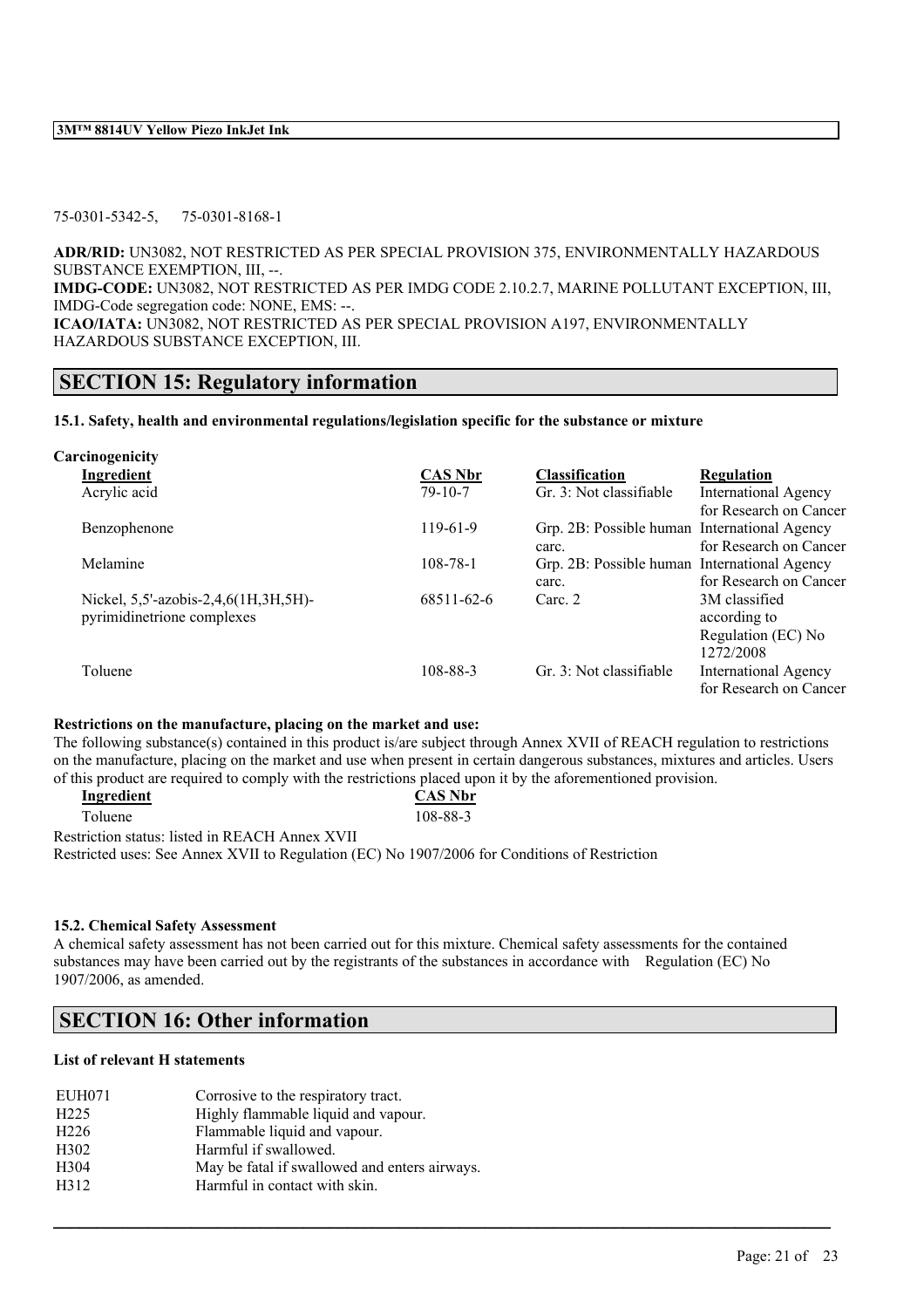#### 75-0301-5342-5, 75-0301-8168-1

**ADR/RID:** UN3082, NOT RESTRICTED AS PER SPECIAL PROVISION 375, ENVIRONMENTALLY HAZARDOUS SUBSTANCE EXEMPTION, III, --.

**IMDG-CODE:** UN3082, NOT RESTRICTED AS PER IMDG CODE 2.10.2.7, MARINE POLLUTANT EXCEPTION, III, IMDG-Code segregation code: NONE, EMS: --.

**ICAO/IATA:** UN3082, NOT RESTRICTED AS PER SPECIAL PROVISION A197, ENVIRONMENTALLY HAZARDOUS SUBSTANCE EXCEPTION, III.

## **SECTION 15: Regulatory information**

## **15.1. Safety, health and environmental regulations/legislation specific for the substance or mixture**

| Carcinogenicity                      |                |                                              |                             |
|--------------------------------------|----------------|----------------------------------------------|-----------------------------|
| Ingredient                           | <b>CAS Nbr</b> | <b>Classification</b>                        | <b>Regulation</b>           |
| Acrylic acid                         | $79 - 10 - 7$  | Gr. 3: Not classifiable                      | <b>International Agency</b> |
|                                      |                |                                              | for Research on Cancer      |
| Benzophenone                         | $119-61-9$     | Grp. 2B: Possible human International Agency |                             |
|                                      |                | carc.                                        | for Research on Cancer      |
| Melamine                             | $108 - 78 - 1$ | Grp. 2B: Possible human International Agency |                             |
|                                      |                | carc.                                        | for Research on Cancer      |
| Nickel, 5,5'-azobis-2,4,6(1H,3H,5H)- | 68511-62-6     | Carc. 2                                      | 3M classified               |
| pyrimidinetrione complexes           |                |                                              | according to                |
|                                      |                |                                              | Regulation (EC) No          |
|                                      |                |                                              | 1272/2008                   |
| Toluene                              | 108-88-3       | Gr. 3: Not classifiable                      | <b>International Agency</b> |
|                                      |                |                                              | for Research on Cancer      |
|                                      |                |                                              |                             |

## **Restrictions on the manufacture, placing on the market and use:**

The following substance(s) contained in this product is/are subject through Annex XVII of REACH regulation to restrictions on the manufacture, placing on the market and use when present in certain dangerous substances, mixtures and articles. Users of this product are required to comply with the restrictions placed upon it by the aforementioned provision.

| Ingredient                                                                                                                                                              | <b>CAS Nbr</b> |
|-------------------------------------------------------------------------------------------------------------------------------------------------------------------------|----------------|
| Toluene                                                                                                                                                                 | 108-88-3       |
| $\mathbf{D}$ , and also are also as $\mathbf{D}$ and $\mathbf{D}$ and $\mathbf{D}$ and $\mathbf{D}$ and $\mathbf{D}$ and $\mathbf{D}$ and $\mathbf{D}$ and $\mathbf{D}$ |                |

Restriction status: listed in REACH Annex XVII

Restricted uses: See Annex XVII to Regulation (EC) No 1907/2006 for Conditions of Restriction

## **15.2. Chemical Safety Assessment**

A chemical safety assessment has not been carried out for this mixture. Chemical safety assessments for the contained substances may have been carried out by the registrants of the substances in accordance with Regulation (EC) No 1907/2006, as amended.

 $\mathcal{L}_\mathcal{L} = \mathcal{L}_\mathcal{L} = \mathcal{L}_\mathcal{L} = \mathcal{L}_\mathcal{L} = \mathcal{L}_\mathcal{L} = \mathcal{L}_\mathcal{L} = \mathcal{L}_\mathcal{L} = \mathcal{L}_\mathcal{L} = \mathcal{L}_\mathcal{L} = \mathcal{L}_\mathcal{L} = \mathcal{L}_\mathcal{L} = \mathcal{L}_\mathcal{L} = \mathcal{L}_\mathcal{L} = \mathcal{L}_\mathcal{L} = \mathcal{L}_\mathcal{L} = \mathcal{L}_\mathcal{L} = \mathcal{L}_\mathcal{L}$ 

# **SECTION 16: Other information**

## **List of relevant H statements**

| H <sub>225</sub><br>Highly flammable liquid and vapour.           |  |
|-------------------------------------------------------------------|--|
| Flammable liquid and vapour.<br>H <sub>226</sub>                  |  |
| H <sub>3</sub> 02<br>Harmful if swallowed.                        |  |
| H <sub>304</sub><br>May be fatal if swallowed and enters airways. |  |
| H312<br>Harmful in contact with skin.                             |  |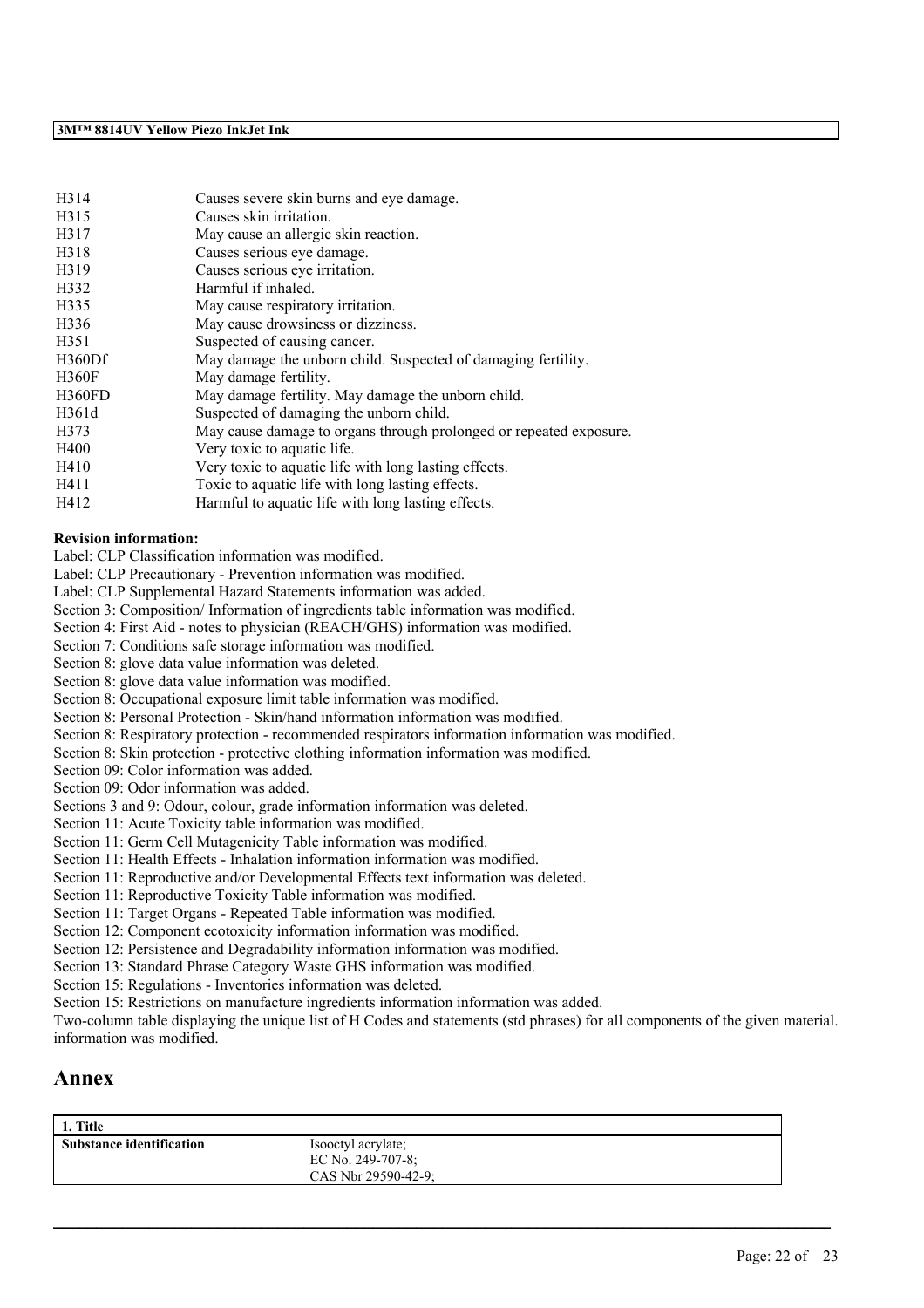| H314          | Causes severe skin burns and eye damage.                           |
|---------------|--------------------------------------------------------------------|
| H315          | Causes skin irritation.                                            |
| H317          | May cause an allergic skin reaction.                               |
| H318          | Causes serious eye damage.                                         |
| H319          | Causes serious eye irritation.                                     |
| H332          | Harmful if inhaled.                                                |
| H335          | May cause respiratory irritation.                                  |
| H336          | May cause drowsiness or dizziness.                                 |
| H351          | Suspected of causing cancer.                                       |
| H360Df        | May damage the unborn child. Suspected of damaging fertility.      |
| <b>H360F</b>  | May damage fertility.                                              |
| <b>H360FD</b> | May damage fertility. May damage the unborn child.                 |
| H361d         | Suspected of damaging the unborn child.                            |
| H373          | May cause damage to organs through prolonged or repeated exposure. |
| H400          | Very toxic to aquatic life.                                        |
| H410          | Very toxic to aquatic life with long lasting effects.              |
| H411          | Toxic to aquatic life with long lasting effects.                   |
| H412          | Harmful to aquatic life with long lasting effects.                 |

#### **Revision information:**

Label: CLP Classification information was modified.

Label: CLP Precautionary - Prevention information was modified.

Label: CLP Supplemental Hazard Statements information was added.

Section 3: Composition/ Information of ingredients table information was modified.

Section 4: First Aid - notes to physician (REACH/GHS) information was modified.

Section 7: Conditions safe storage information was modified.

Section 8: glove data value information was deleted.

Section 8: glove data value information was modified.

Section 8: Occupational exposure limit table information was modified.

Section 8: Personal Protection - Skin/hand information information was modified.

Section 8: Respiratory protection - recommended respirators information information was modified.

Section 8: Skin protection - protective clothing information information was modified.

Section 09: Color information was added.

Section 09: Odor information was added.

Sections 3 and 9: Odour, colour, grade information information was deleted.

Section 11: Acute Toxicity table information was modified.

Section 11: Germ Cell Mutagenicity Table information was modified.

Section 11: Health Effects - Inhalation information information was modified.

Section 11: Reproductive and/or Developmental Effects text information was deleted.

Section 11: Reproductive Toxicity Table information was modified.

Section 11: Target Organs - Repeated Table information was modified.

Section 12: Component ecotoxicity information information was modified.

Section 12: Persistence and Degradability information information was modified.

Section 13: Standard Phrase Category Waste GHS information was modified.

Section 15: Regulations - Inventories information was deleted.

Section 15: Restrictions on manufacture ingredients information information was added.

Two-column table displaying the unique list of H Codes and statements (std phrases) for all components of the given material. information was modified.

# **Annex**

| 1. Title                        |                                                                |
|---------------------------------|----------------------------------------------------------------|
| <b>Substance identification</b> | Isoletyl acrylate;<br>EC No. 249-707-8;<br>CAS Nbr 29590-42-9: |